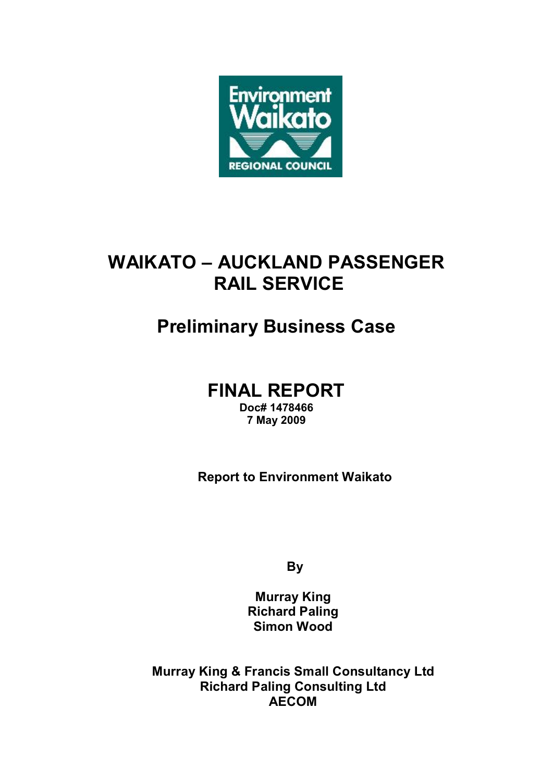

# **WAIKATO – AUCKLAND PASSENGER RAIL SERVICE**

# **Preliminary Business Case**

# **FINAL REPORT**

**Doc# 1478466 7 May 2009** 

**Report to Environment Waikato**

**By** 

**Murray King Richard Paling Simon Wood**

**Murray King & Francis Small Consultancy Ltd Richard Paling Consulting Ltd AECOM**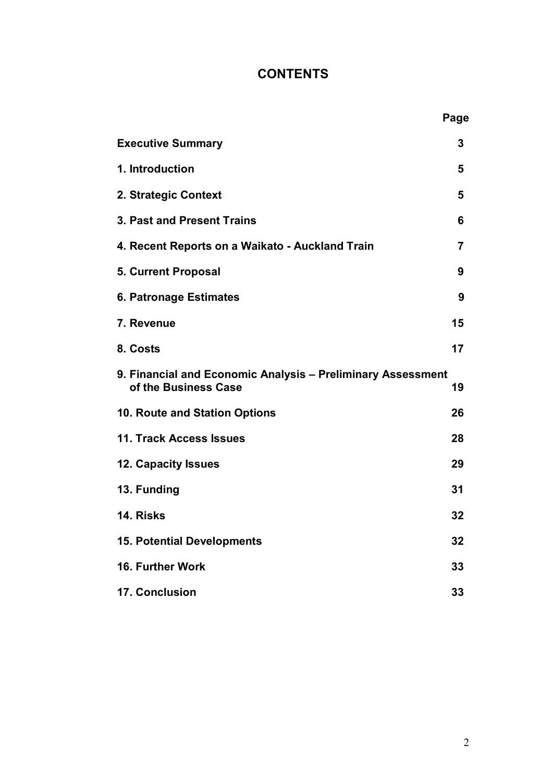# **CONTENTS**

|                                                                                     | Page           |
|-------------------------------------------------------------------------------------|----------------|
| <b>Executive Summary</b>                                                            | 3              |
| 1. Introduction                                                                     | 5              |
| 2. Strategic Context                                                                | 5              |
| 3. Past and Present Trains                                                          | 6              |
| 4. Recent Reports on a Waikato - Auckland Train                                     | $\overline{7}$ |
| <b>5. Current Proposal</b>                                                          | 9              |
| 6. Patronage Estimates                                                              | 9              |
| 7. Revenue                                                                          | 15             |
| 8. Costs                                                                            | 17             |
| 9. Financial and Economic Analysis - Preliminary Assessment<br>of the Business Case | 19             |
| <b>10. Route and Station Options</b>                                                | 26             |
| 11. Track Access Issues                                                             | 28             |
| 12. Capacity Issues                                                                 | 29             |
| 13. Funding                                                                         | 31             |
| 14. Risks                                                                           | 32             |
| <b>15. Potential Developments</b>                                                   | 32             |
| 16. Further Work                                                                    | 33             |
| 17. Conclusion                                                                      | 33             |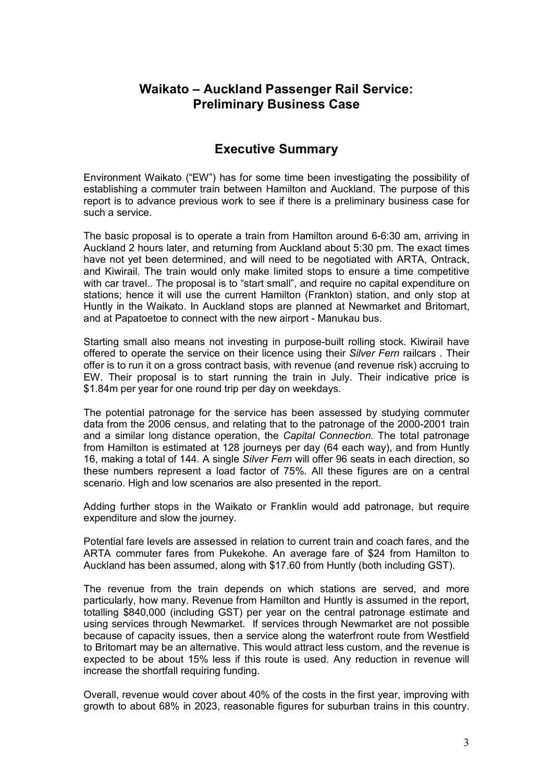# **Waikato – Auckland Passenger Rail Service: Preliminary Business Case**

# **Executive Summary**

Environment Waikato ("EW") has for some time been investigating the possibility of establishing a commuter train between Hamilton and Auckland. The purpose of this report is to advance previous work to see if there is a preliminary business case for such a service.

The basic proposal is to operate a train from Hamilton around 66:30 am, arriving in Auckland 2 hours later, and returning from Auckland about 5:30 pm. The exact times have not yet been determined, and will need to be negotiated with ARTA, Ontrack, and Kiwirail. The train would only make limited stops to ensure a time competitive with car travel.. The proposal is to "start small", and require no capital expenditure on stations; hence itwill use the current Hamilton (Frankton) station, and only stop at Huntly in the Waikato. In Auckland stops are planned at Newmarket and Britomart, and at Papatoetoe to connect with the new airport - Manukau bus.

Starting small also means not investing in purpose-built rolling stock. Kiwirail have offered to operate the service on their licence using their *Silver Fern* railcars . Their offer is to run it on a gross contract basis, with revenue (and revenue risk) accruing to EW. Their proposal is to start running the train in July. Their indicative price is \$1.84m per year for one round trip per day on weekdays.

The potential patronage for the service has been assessed by studying commuter data from the 2006 census, and relating that to the patronage of the 2000-2001 train and a similar long distance operation, the *Capital Connection.* The total patronage from Hamilton is estimated at 128 journeys per day (64 each way), and from Huntly 16, making a total of 144. A single *Silver Fern* will offer 96 seats in each direction, so these numbers represent a load factor of 75%. All these figures are on a central scenario. High and low scenarios are also presented in the report.

Adding further stops in the Waikato or Franklin would add patronage, but require expenditure and slow the journey.

Potential fare levels are assessed in relation to current train and coach fares, and the ARTA commuter fares from Pukekohe. An average fare of \$24 from Hamilton to Auckland has been assumed, along with \$17.60 from Huntly (both including GST).

The revenue from the train depends on which stations are served, and more particularly, how many. Revenue from Hamilton and Huntly is assumed in the report, totalling \$840,000 (including GST) per year on the central patronage estimate and using services through Newmarket. If services through Newmarket are not possible because of capacity issues, then a service along the waterfront route from Westfield to Britomart may be an alternative. This would attract less custom, and the revenue is expected to be about 15% less if this route is used. Any reduction in revenue will increase the shortfall requiring funding.

Overall, revenue would cover about 40% of the costs in the first year, improving with growth to about 68% in 2023, reasonable figures for suburban trains in this country.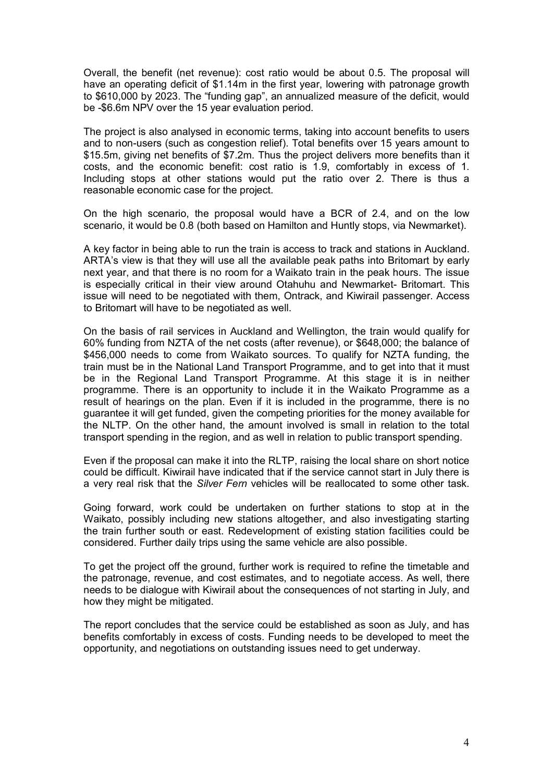Overall, the benefit (net revenue): cost ratio would be about 0.5. The proposal will have an operating deficit of \$1.14m in the first year, lowering with patronage growth to \$610,000 by 2023. The "funding gap", an annualized measure of the deficit, would be -\$6.6m NPV over the 15 year evaluation period.

The project is also analysed in economic terms, taking into account benefits to users and to non-users (such as congestion relief). Total benefits over 15 years amount to \$15.5m, giving net benefits of \$7.2m. Thus the project delivers more benefits than it costs, and the economic benefit: cost ratio is 1.9, comfortably in excess of 1. Including stops at other stations would put the ratio over 2. There is thus a reasonable economic case for the project.

On the high scenario, the proposal would have a BCR of 2.4, and on the low scenario, it would be 0.8 (both based on Hamilton and Huntly stops, via Newmarket).

A key factor in being able to run the train is access to track and stations in Auckland. ARTA's view is that they will use all the available peak paths into Britomart by early next year, and that there is no room for a Waikato train in the peak hours. The issue is especially critical in their view around Otahuhu and Newmarket- Britomart. This issue will need to be negotiated with them, Ontrack, and Kiwirail passenger. Access to Britomart will have to be negotiated as well.

On the basis of rail services in Auckland and Wellington, the train would qualify for 60% funding from NZTA of the net costs (after revenue), or \$648,000; the balance of \$456,000 needs to come from Waikato sources. To qualify for NZTA funding, the train must be in the National Land Transport Programme, and to get into that it must be in the Regional Land Transport Programme. At this stage it is in neither programme. There is an opportunity to include it in the Waikato Programme as a result of hearings on the plan. Even if it is included in the programme, there is no guarantee it will get funded, given the competing priorities for the money available for the NLTP. On the other hand, the amount involved is small in relation to the total transport spending in the region, and as well in relation to public transport spending.

Even if the proposal can make it into the RLTP, raising the local share on short notice could be difficult. Kiwirail have indicated that if the service cannot start in July there is a very real risk that the *Silver Fern* vehicles will be reallocated to some other task.

Going forward, work could be undertaken on further stations to stop at in the Waikato, possibly including new stations altogether, and also investigating starting the train further south or east. Redevelopment of existing station facilities could be considered. Further daily trips using the same vehicle are also possible.

To get the project off the ground, further work is required to refine the timetable and the patronage, revenue, and cost estimates, and to negotiate access. As well, there needs to be dialogue with Kiwirail about the consequences of not starting in July, and how they might be mitigated.

The report concludes that the service could be established as soon as July, and has benefits comfortably in excess of costs. Funding needs to be developed to meet the opportunity, and negotiations on outstanding issues need to get underway.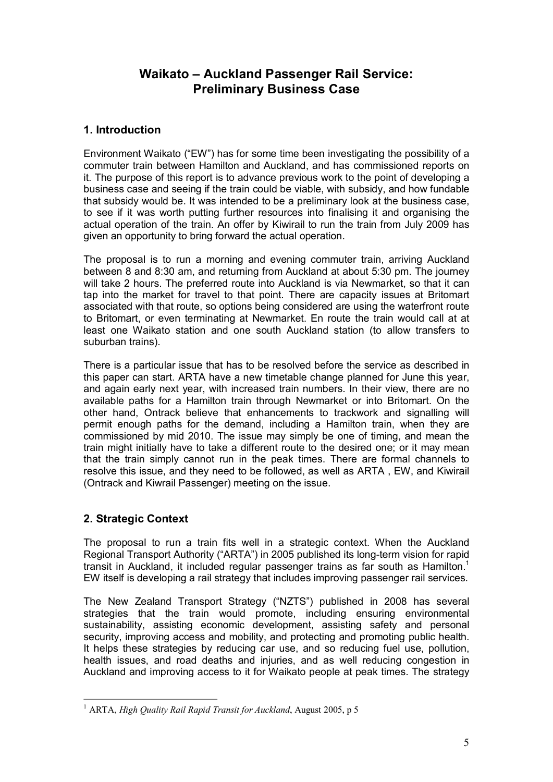# **Waikato – Auckland Passenger Rail Service: Preliminary Business Case**

# **1. Introduction**

Environment Waikato ("EW") has for some time been investigating the possibility of a commuter train between Hamilton and Auckland, and has commissioned reports on it. The purpose of this report is to advance previous work to the point of developing a business case and seeing if the train could be viable, with subsidy, and how fundable that subsidy would be. It was intended to be a preliminary look at the business case, to see if it was worth putting further resources into finalising it and organising the actual operation of the train. An offer by Kiwirail to run the train from July 2009 has given an opportunity to bring forward the actual operation.

The proposal is to run a morning and evening commuter train, arriving Auckland between 8 and 8:30 am, and returning from Auckland at about 5:30 pm. The journey will take 2 hours. The preferred route into Auckland is via Newmarket, so that it can tap into the market for travel to that point. There are capacity issues at Britomart associated with that route, so options being considered are using the waterfront route to Britomart, or even terminating at Newmarket. En route the train would call at at least one Waikato station and one south Auckland station (to allow transfers to suburban trains).

There is a particular issue that has to be resolved before the service as described in this paper can start. ARTA have a new timetable change planned for June this year, and again early next year, with increased train numbers. In their view, there are no available paths for a Hamilton train through Newmarket or into Britomart. On the other hand, Ontrack believe that enhancements to trackwork and signalling will permit enough paths for the demand, including a Hamilton train, when they are commissioned by mid 2010. The issue may simply be one of timing, and mean the train might initially have to take a different route to the desired one; or it may mean that the train simply cannot run in the peak times. There are formal channels to resolve this issue, and they need to be followed, as well as ARTA , EW, and Kiwirail (Ontrack and Kiwrail Passenger) meeting on the issue.

# **2. Strategic Context**

The proposal to run a train fits well in a strategic context. When the Auckland Regional Transport Authority ("ARTA") in 2005 published its long-term vision for rapid transit in Auckland, it included regular passenger trains as far south as Hamilton.<sup>1</sup> EW itself is developing a rail strategy that includes improving passenger rail services.

The New Zealand Transport Strategy ("NZTS") published in 2008 has several strategies that the train would promote, including ensuring environmental sustainability, assisting economic development, assisting safety and personal security, improving access and mobility, and protecting and promoting public health. It helps these strategies by reducing car use, and so reducing fuel use, pollution, health issues, and road deaths and injuries, and as well reducing congestion in Auckland and improving access to it for Waikato people at peak times. The strategy

<sup>1</sup> ARTA, *High Quality Rail Rapid Transit for Auckland*, August 2005, p 5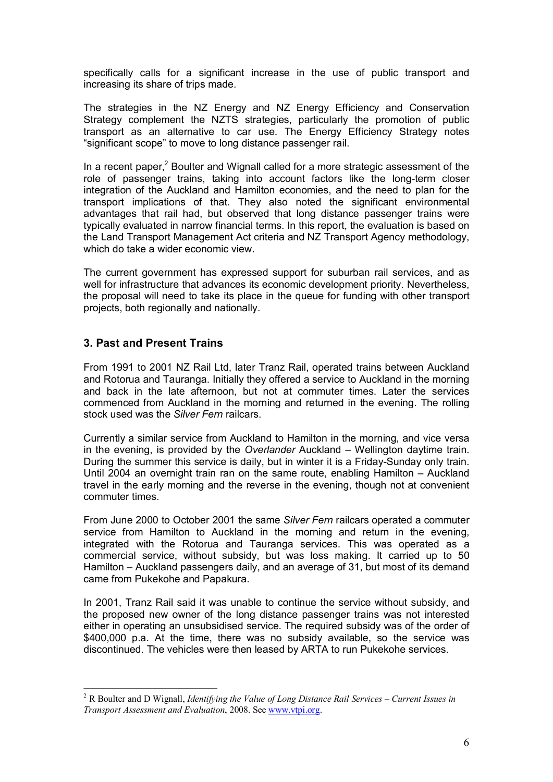specifically calls for a significant increase in the use of public transport and increasing its share of trips made.

The strategies in the NZ Energy and NZ Energy Efficiency and Conservation Strategy complement the NZTS strategies, particularly the promotion of public transport as an alternative to car use. The Energy Efficiency Strategy notes "significant scope" to move to long distance passenger rail.

In a recent paper, $<sup>2</sup>$  Boulter and Wignall called for a more strategic assessment of the</sup> role of passenger trains, taking into account factors like the long-term closer integration of the Auckland and Hamilton economies, and the need to plan for the transport implications of that. They also noted the significant environmental advantages that rail had, but observed that long distance passenger trains were typically evaluated in narrow financial terms. In this report, the evaluation is based on the Land Transport Management Act criteria and NZ Transport Agency methodology, which do take a wider economic view.

The current government has expressed support for suburban rail services, and as well for infrastructure that advances its economic development priority. Nevertheless, the proposal will need to take its place in the queue for funding with other transport projects, both regionally and nationally.

# **3. Past and Present Trains**

From 1991 to 2001 NZ Rail Ltd, later Tranz Rail, operated trains between Auckland and Rotorua and Tauranga. Initially they offered a service to Auckland in the morning and back in the late afternoon, but not at commuter times. Later the services commenced from Auckland in the morning and returned in the evening. The rolling stock used was the *Silver Fern* railcars.

Currently a similar service from Auckland to Hamilton in the morning, and vice versa in the evening, is provided by the *Overlander* Auckland – Wellington daytime train. During the summer this service is daily, but in winter it is a Friday-Sunday only train. Until 2004 an overnight train ran on the same route, enabling Hamilton – Auckland travel in the early morning and the reverse in the evening, though not at convenient commuter times.

From June 2000 to October 2001 the same *Silver Fern* railcars operated a commuter service from Hamilton to Auckland in the morning and return in the evening, integrated with the Rotorua and Tauranga services. This was operated as a commercial service, without subsidy, but was loss making. It carried up to 50 Hamilton – Auckland passengers daily, and an average of 31, but most of its demand came from Pukekohe and Papakura.

In 2001, Tranz Rail said it was unable to continue the service without subsidy, and the proposed new owner of the long distance passenger trains was not interested either in operating an unsubsidised service. The required subsidy was of the order of \$400,000 p.a. At the time, there was no subsidy available, so the service was discontinued. The vehicles were then leased by ARTA to run Pukekohe services.

<sup>2</sup> R Boulter and D Wignall, *Identifying the Value of Long Distance Rail Services – Current Issues in Transport Assessment and Evaluation*, 2008. See [www.vtpi.org](http://www.vtpi.org/).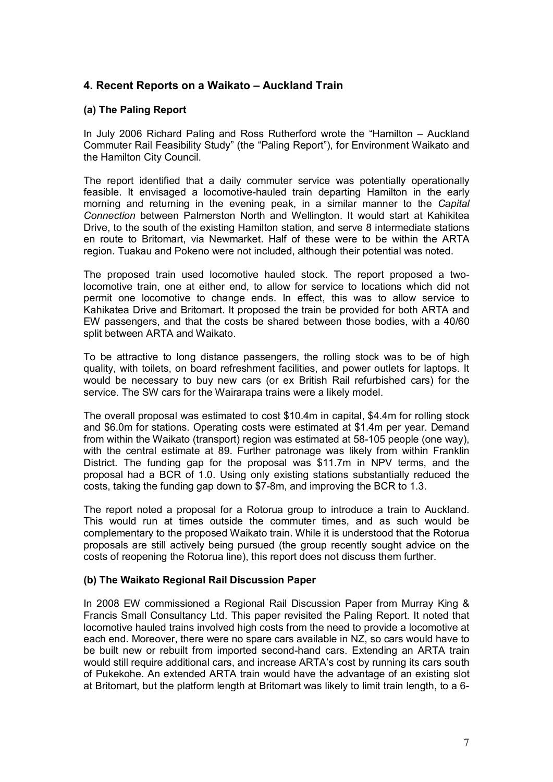# **4. Recent Reports on a Waikato – Auckland Train**

# **(a) The Paling Report**

In July 2006 Richard Paling and Ross Rutherford wrote the "Hamilton – Auckland Commuter Rail Feasibility Study" (the "Paling Report"), for Environment Waikato and the Hamilton City Council.

The report identified that a daily commuter service was potentially operationally feasible. It envisaged a locomotivehauled train departing Hamilton in the early morning and returning in the evening peak, in a similar manner to the *Capital Connection* between Palmerston North and Wellington. It would start at Kahikitea Drive, to the south of the existing Hamilton station, and serve 8 intermediate stations en route to Britomart, via Newmarket. Half of these were to be within the ARTA region. Tuakau and Pokeno were not included, although their potential was noted.

The proposed train used locomotive hauled stock. The report proposed a twolocomotive train, one at either end, to allow for service to locations which did not permit one locomotive to change ends. In effect, this was to allow service to Kahikatea Drive and Britomart. It proposed the train be provided for both ARTA and EW passengers, and that the costs be shared between those bodies, with a 40/60 split between ARTA and Waikato.

To be attractive to long distance passengers, the rolling stock was to be of high quality, with toilets, on board refreshment facilities, and power outlets for laptops. It would be necessary to buy new cars (or ex British Rail refurbished cars) for the service. The SW cars for the Wairarapa trains were a likely model.

The overall proposal was estimated to cost \$10.4m in capital, \$4.4m for rolling stock and \$6.0m for stations. Operating costs were estimated at \$1.4m per year. Demand from within the Waikato (transport) region was estimated at 58-105 people (one way), with the central estimate at 89. Further patronage was likely from within Franklin District. The funding gap for the proposal was \$11.7m in NPV terms, and the proposal had a BCR of 1.0. Using only existing stations substantially reduced the costs, taking the funding gap down to \$7-8m, and improving the BCR to 1.3.

The report noted a proposal for a Rotorua group to introduce a train to Auckland. This would run at times outside the commuter times, and as such would be complementary to the proposed Waikato train. While it is understood that the Rotorua proposals are still actively being pursued (the group recently sought advice on the costs of reopening the Rotorua line), this report does not discuss them further.

#### **(b) The Waikato Regional Rail Discussion Paper**

In 2008 EW commissioned a Regional Rail Discussion Paper from Murray King & Francis Small Consultancy Ltd. This paper revisited the Paling Report. It noted that locomotive hauled trains involved high costs from the need to provide a locomotive at each end. Moreover, there were no spare cars available in NZ, so cars would have to be built new or rebuilt from imported second-hand cars. Extending an ARTA train would still require additional cars, and increase ARTA's cost by running its cars south of Pukekohe. An extended ARTA train would have the advantage of an existing slot at Britomart, but the platform length at Britomart was likely to limit train length, to a 6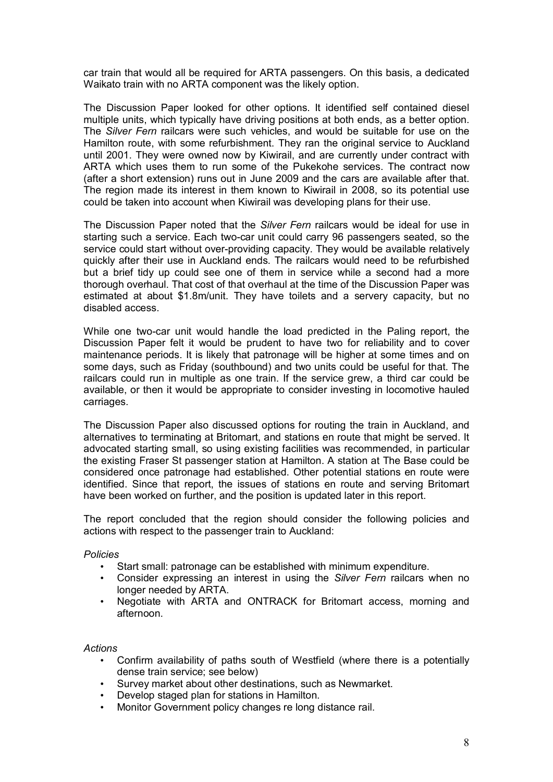car train that would all be required for ARTA passengers. On this basis, a dedicated Waikato train with no ARTA component was the likely option.

The Discussion Paper looked for other options. It identified self contained diesel multiple units, which typically have driving positions at both ends, as a better option. The *Silver Fern* railcars were such vehicles, and would be suitable for use on the Hamilton route, with some refurbishment. They ran the original service to Auckland until 2001. They were owned now by Kiwirail, and are currently under contract with ARTA which uses them to run some of the Pukekohe services. The contract now (after a short extension) runs out in June 2009 and the cars are available after that. The region made its interest in them known to Kiwirail in 2008, so its potential use could be taken into account when Kiwirail was developing plans for their use.

The Discussion Paper noted that the *Silver Fern* railcars would be ideal for use in starting such a service. Each two-car unit could carry 96 passengers seated, so the service could start without over-providing capacity. They would be available relatively quickly after their use in Auckland ends. The railcars would need to be refurbished but a brief tidy up could see one of them in service while a second had a more thorough overhaul. That cost of that overhaul at the time of the Discussion Paper was estimated at about \$1.8m/unit. They have toilets and a servery capacity, but no disabled access.

While one two-car unit would handle the load predicted in the Paling report, the Discussion Paper felt it would be prudent to have two for reliability and to cover maintenance periods. It is likely that patronage will be higher at some times and on some days, such as Friday (southbound) and two units could be useful for that. The railcars could run in multiple as one train. If the service grew, a third car could be available, or then it would be appropriate to consider investing in locomotive hauled carriages.

The Discussion Paper also discussed options for routing the train in Auckland, and alternatives to terminating at Britomart, and stations en route that might be served. It advocated starting small, so using existing facilities was recommended, in particular the existing Fraser St passenger station at Hamilton. A station at The Base could be considered once patronage had established. Other potential stations en route were identified. Since that report, the issues of stations en route and serving Britomart have been worked on further, and the position is updated later in this report.

The report concluded that the region should consider the following policies and actions with respect to the passenger train to Auckland:

#### *Policies*

- Start small: patronage can be established with minimum expenditure.<br>• Consider expressing an interest in using the *Silver Fern railcars* w
- Consider expressing an interest in using the *Silver Fern* railcars when no longer needed by ARTA.
- Negotiate with ARTA and ONTRACK for Britomart access, morning and afternoon.

*Actions*

- Confirm availability of paths south of Westfield (where there is a potentially dense train service; see below)
- Survey market about other destinations, such as Newmarket.
- Develop staged plan for stations in Hamilton.
- Monitor Government policy changes re long distance rail.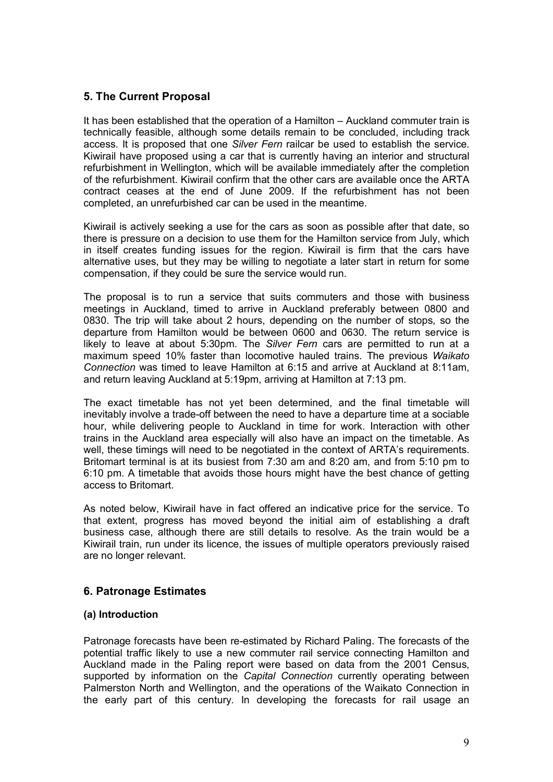# **5. The Current Proposal**

It has been established that the operation of a Hamilton – Auckland commuter train is technically feasible, although some details remain to be concluded, including track access. It is proposed that one *Silver Fern* railcar be used to establish the service. Kiwirail have proposed using a car that is currently having an interior and structural refurbishment in Wellington, which will be available immediately after the completion of the refurbishment. Kiwirail confirm that the other cars are available once the ARTA contract ceases at the end of June 2009. If the refurbishment has not been completed, an unrefurbished car can be used in the meantime.

Kiwirail is actively seeking a use for the cars as soon as possible after that date, so there is pressure on a decision to use them for the Hamilton service from July, which in itself creates funding issues for the region. Kiwirail is firm that the cars have alternative uses, but they may be willing to negotiate a later start in return for some compensation, if they could be sure the service would run.

The proposal is to run a service that suits commuters and those with business meetings in Auckland, timed to arrive in Auckland preferably between 0800 and 0830. The trip will take about 2 hours, depending on the number of stops, so the departure from Hamilton would be between 0600 and 0630. The return service is likely to leave at about 5:30pm. The *Silver Fern* cars are permitted to run at a maximum speed 10% faster than locomotive hauled trains. The previous *Waikato Connection* was timed to leave Hamilton at 6:15 and arrive at Auckland at 8:11am, and return leaving Auckland at 5:19pm, arriving at Hamilton at 7:13 pm.

The exact timetable has not yet been determined, and the final timetable will inevitably involve a trade-off between the need to have a departure time at a sociable hour, while delivering people to Auckland in time for work. Interaction with other trains in the Auckland area especially will also have an impact on the timetable. As well, these timings will need to be negotiated in the context of ARTA's requirements. Britomart terminal is at its busiest from 7:30 am and 8:20 am, and from 5:10 pm to 6:10 pm. A timetable that avoids those hours might have the best chance of getting access to Britomart.

As noted below, Kiwirail have in fact offered an indicative price for the service. To that extent, progress has moved beyond the initial aim of establishing a draft business case, although there are still details to resolve. As the train would be a Kiwirail train, run under its licence, the issues of multiple operators previously raised are no longer relevant.

# **6. Patronage Estimates**

#### **(a) Introduction**

Patronage forecasts have been re-estimated by Richard Paling. The forecasts of the potential traffic likely to use a new commuter rail service connecting Hamilton and Auckland made in the Paling report were based on data from the 2001 Census, supported by information on the *Capital Connection* currently operating between Palmerston North and Wellington, and the operations of the Waikato Connection in the early part of this century. In developing the forecasts for rail usage an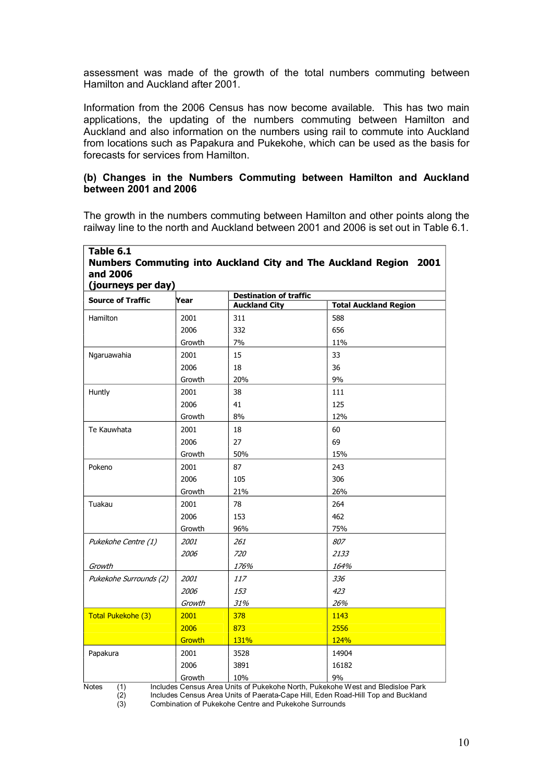assessment was made of the growth of the total numbers commuting between Hamilton and Auckland after 2001.

Information from the 2006 Census has now become available. This has two main applications, the updating of the numbers commuting between Hamilton and Auckland and also information on the numbers using rail to commute into Auckland from locations such as Papakura and Pukekohe, which can be used as the basis for forecasts for services from Hamilton.

#### **(b) Changes in the Numbers Commuting between Hamilton and Auckland between 2001 and 2006**

The growth in the numbers commuting between Hamilton and other points along the railway line to the north and Auckland between 2001 and 2006 is set out in Table 6.1.

| <b>Source of Traffic</b> | (journeys per day)<br>Year | <b>Destination of traffic</b> |                              |
|--------------------------|----------------------------|-------------------------------|------------------------------|
|                          |                            | <b>Auckland City</b>          | <b>Total Auckland Region</b> |
| Hamilton                 | 2001                       | 311                           | 588                          |
|                          | 2006                       | 332                           | 656                          |
|                          | Growth                     | 7%                            | 11%                          |
| Ngaruawahia              | 2001                       | 15                            | 33                           |
|                          | 2006                       | 18                            | 36                           |
|                          | Growth                     | 20%                           | 9%                           |
| Huntly                   | 2001                       | 38                            | 111                          |
|                          | 2006                       | 41                            | 125                          |
|                          | Growth                     | 8%                            | 12%                          |
| Te Kauwhata              | 2001                       | 18                            | 60                           |
|                          | 2006                       | 27                            | 69                           |
|                          | Growth                     | 50%                           | 15%                          |
| Pokeno                   | 2001                       | 87                            | 243                          |
|                          | 2006                       | 105                           | 306                          |
|                          | Growth                     | 21%                           | 26%                          |
| Tuakau                   | 2001                       | 78                            | 264                          |
|                          | 2006                       | 153                           | 462                          |
|                          | Growth                     | 96%                           | 75%                          |
| Pukekohe Centre (1)      | 2001                       | 261                           | 807                          |
|                          | 2006                       | 720                           | 2133                         |
| Growth                   |                            | 176%                          | 164%                         |
| Pukekohe Surrounds (2)   | 2001                       | 117                           | 336                          |
|                          | 2006                       | 153                           | 423                          |
|                          | Growth                     | 31%                           | 26%                          |
| Total Pukekohe (3)       | 2001                       | 378                           | 1143                         |
|                          | 2006                       | 873                           | 2556                         |
|                          | Growth                     | <b>131%</b>                   | <b>124%</b>                  |
| Papakura                 | 2001                       | 3528                          | 14904                        |
|                          | 2006                       | 3891                          | 16182                        |
|                          | Growth                     | 10%                           | 9%                           |

Notes (1) Includes Census Area Units of Pukekohe North, Pukekohe West and Bledisloe Park (2) Includes Census Area Units of Paerata-Cape Hill, Eden Road-Hill Top and Buckland

(3) Combination of Pukekohe Centre and Pukekohe Surrounds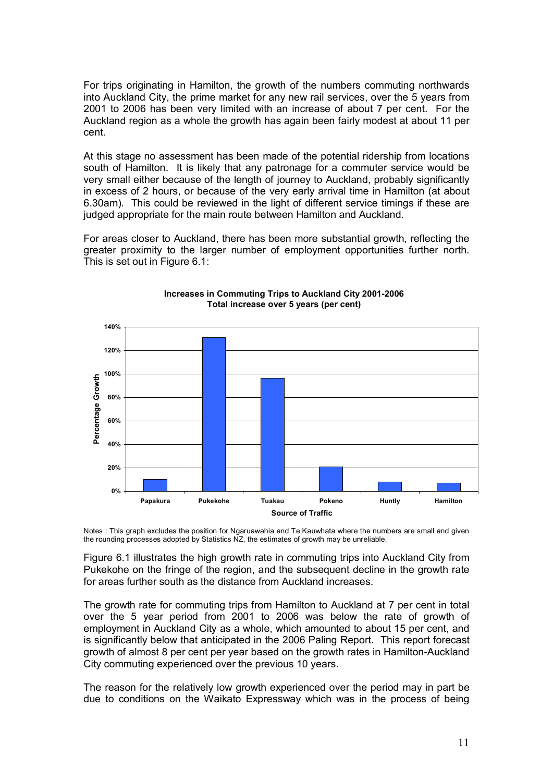For trips originating in Hamilton, the growth of the numbers commuting northwards into Auckland City, the prime market for any new rail services, over the 5 years from 2001 to 2006 has been very limited with an increase of about 7 per cent. For the Auckland region as a whole the growth has again been fairly modest at about 11 per cent.

At this stage no assessment has been made of the potential ridership from locations south of Hamilton. It is likely that any patronage for a commuter service would be very small either because of the length of journey to Auckland, probably significantly in excess of 2 hours, or because of the very early arrival time in Hamilton (at about 6.30am). This could be reviewed in the light of different service timings if these are judged appropriate for the main route between Hamilton and Auckland.

For areas closer to Auckland, there has been more substantial growth, reflecting the greater proximity to the larger number of employment opportunities further north. This is set out in Figure 6.1:





Notes : This graph excludes the position for Ngaruawahia and Te Kauwhata where the numbers are small and given the rounding processes adopted by Statistics NZ, the estimates of growth may be unreliable.

Figure 6.1 illustrates the high growth rate in commuting trips into Auckland City from Pukekohe on the fringe of the region, and the subsequent decline in the growth rate for areas further south as the distance from Auckland increases.

The growth rate for commuting trips from Hamilton to Auckland at 7 per cent in total over the 5 year period from 2001 to 2006 was below the rate of growth of employment in Auckland City as a whole, which amounted to about 15 per cent, and is significantly below that anticipated in the 2006 Paling Report. This report forecast growth of almost 8 per cent per year based on the growth rates in Hamilton-Auckland City commuting experienced over the previous 10 years.

The reason for the relatively low growth experienced over the period may in part be due to conditions on the Waikato Expressway which was in the process of being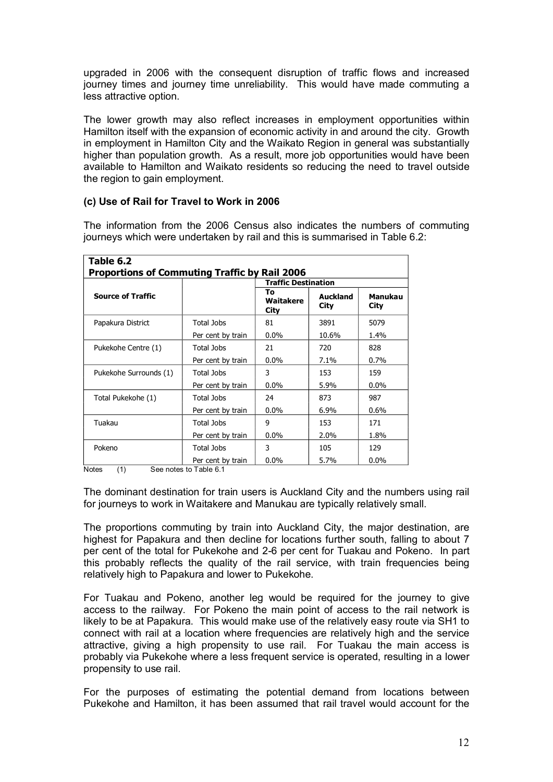upgraded in 2006 with the consequent disruption of traffic flows and increased journey times and journey time unreliability. This would have made commuting a less attractive option.

The lower growth may also reflect increases in employment opportunities within Hamilton itself with the expansion of economic activity in and around the city. Growth in employment in Hamilton City and the Waikato Region in general was substantially higher than population growth. As a result, more job opportunities would have been available to Hamilton and Waikato residents so reducing the need to travel outside the region to gain employment.

# **(c) Use of Rail for Travel to Work in 2006**

The information from the 2006 Census also indicates the numbers of commuting journeys which were undertaken by rail and this is summarised in Table 6.2:

| Table 6.2<br><b>Proportions of Commuting Traffic by Rail 2006</b> |                                        |                         |                                |                 |  |  |
|-------------------------------------------------------------------|----------------------------------------|-------------------------|--------------------------------|-----------------|--|--|
|                                                                   |                                        |                         | <b>Traffic Destination</b>     |                 |  |  |
| <b>Source of Traffic</b>                                          |                                        | To<br>Waitakere<br>City | <b>Auckland</b><br><b>City</b> | Manukau<br>City |  |  |
| Papakura District                                                 | Total Jobs                             | 81                      | 3891                           | 5079            |  |  |
|                                                                   | Per cent by train                      | $0.0\%$                 | 10.6%                          | 1.4%            |  |  |
| Pukekohe Centre (1)                                               | Total Jobs                             | 21                      | 720                            | 828             |  |  |
|                                                                   | Per cent by train                      | $0.0\%$                 | 7.1%                           | 0.7%            |  |  |
| Pukekohe Surrounds (1)                                            | Total Jobs                             | 3                       | 153                            | 159             |  |  |
|                                                                   | Per cent by train                      | $0.0\%$                 | 5.9%                           | $0.0\%$         |  |  |
| Total Pukekohe (1)                                                | Total Jobs                             | 24                      | 873                            | 987             |  |  |
|                                                                   | Per cent by train                      | $0.0\%$                 | 6.9%                           | $0.6\%$         |  |  |
| Tuakau                                                            | Total Jobs                             | 9                       | 153                            | 171             |  |  |
|                                                                   | Per cent by train                      | $0.0\%$                 | 2.0%                           | 1.8%            |  |  |
| Pokeno                                                            | Total Jobs                             | 3                       | 105                            | 129             |  |  |
| $\sim$<br>$\cdots$<br>$\lambda$                                   | Per cent by train<br>$\cdots$ $\cdots$ | $0.0\%$                 | 5.7%                           | $0.0\%$         |  |  |

Notes (1) See notes to Table 6.1

The dominant destination for train users is Auckland City and the numbers using rail for journeys to work in Waitakere and Manukau are typically relatively small.

The proportions commuting by train into Auckland City, the major destination, are highest for Papakura and then decline for locations further south, falling to about 7 per cent of the total for Pukekohe and 26 per cent for Tuakau and Pokeno. In part this probably reflects the quality of the rail service, with train frequencies being relatively high to Papakura and lower to Pukekohe.

For Tuakau and Pokeno, another leg would be required for the journey to give access to the railway. For Pokeno the main point of access to the rail network is likely to be at Papakura. This would make use of the relatively easy route via SH1 to connect with rail at a location where frequencies are relatively high and the service attractive, giving a high propensity to use rail. For Tuakau the main access is probably via Pukekohe where a less frequent service is operated, resulting in a lower propensity to use rail.

For the purposes of estimating the potential demand from locations between Pukekohe and Hamilton, it has been assumed that rail travel would account for the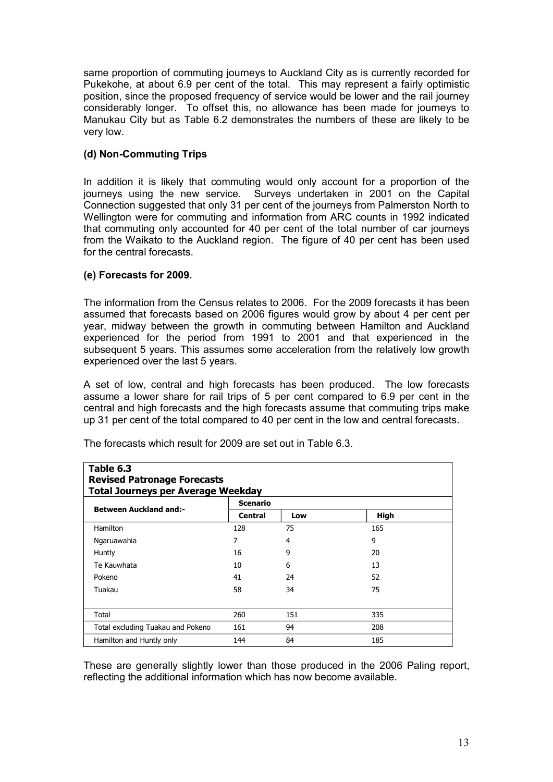same proportion of commuting journeys to Auckland City as is currently recorded for Pukekohe, at about 6.9 per cent of the total. This may represent a fairly optimistic position, since the proposed frequency of service would be lower and the rail journey considerably longer. To offset this, no allowance has been made for journeys to Manukau City but as Table 6.2 demonstrates the numbers of these are likely to be very low.

# **(d) Non-Commuting Trips**

In addition it is likely that commuting would only account for a proportion of the journeys using the new service. Surveys undertaken in 2001 on the Capital Connection suggested that only 31 per cent of the journeys from Palmerston North to Wellington were for commuting and information from ARC counts in 1992 indicated that commuting only accounted for 40 per cent of the total number of car journeys from the Waikato to the Auckland region. The figure of 40 per cent has been used for the central forecasts.

# **(e) Forecasts for 2009.**

The information from the Census relates to 2006. For the 2009 forecasts it has been assumed that forecasts based on 2006 figures would grow by about 4 per cent per year, midway between the growth in commuting between Hamilton and Auckland experienced for the period from 1991 to 2001 and that experienced in the subsequent 5 years. This assumes some acceleration from the relatively low growth experienced over the last 5 years.

A set of low, central and high forecasts has been produced. The low forecasts assume a lower share for rail trips of 5 per cent compared to 6.9 per cent in the central and high forecasts and the high forecasts assume that commuting trips make up 31 per cent of the total compared to 40 per cent in the low and central forecasts.

| Table 6.3<br><b>Revised Patronage Forecasts</b><br><b>Total Journeys per Average Weekday</b> |                 |     |      |  |
|----------------------------------------------------------------------------------------------|-----------------|-----|------|--|
| <b>Between Auckland and:-</b>                                                                | <b>Scenario</b> |     |      |  |
|                                                                                              | <b>Central</b>  | Low | High |  |
| Hamilton                                                                                     | 128             | 75  | 165  |  |
| Ngaruawahia                                                                                  | 7               | 4   | 9    |  |
| Huntly                                                                                       | 16              | 9   | 20   |  |
| Te Kauwhata                                                                                  | 10              | 6   | 13   |  |
| Pokeno                                                                                       | 41              | 24  | 52   |  |
| Tuakau                                                                                       | 58              | 34  | 75   |  |
|                                                                                              |                 |     |      |  |
| Total                                                                                        | 260             | 151 | 335  |  |
| Total excluding Tuakau and Pokeno                                                            | 161             | 94  | 208  |  |
| Hamilton and Huntly only                                                                     | 144             | 84  | 185  |  |

The forecasts which result for 2009 are set out in Table 6.3.

These are generally slightly lower than those produced in the 2006 Paling report, reflecting the additional information which has now become available.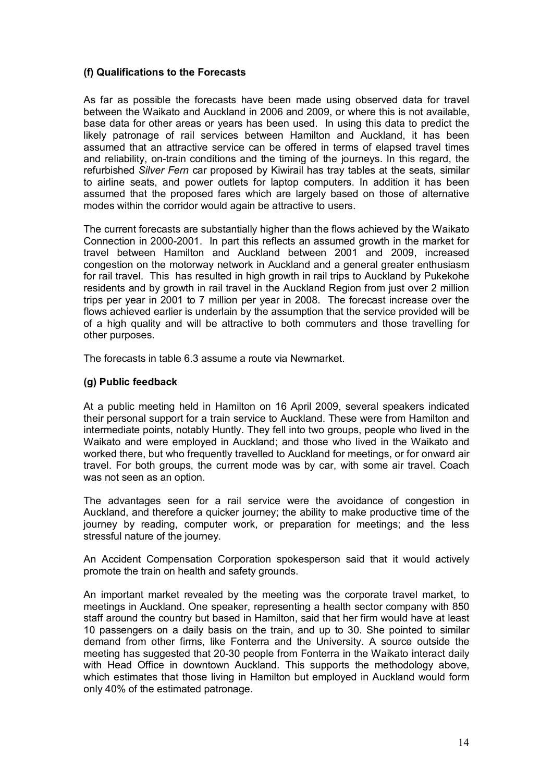### **(f) Qualifications to the Forecasts**

As far as possible the forecasts have been made using observed data for travel between the Waikato and Auckland in 2006 and 2009, or where this is not available, base data for other areas or years has been used. In using this data to predict the likely patronage of rail services between Hamilton and Auckland, it has been assumed that an attractive service can be offered in terms of elapsed travel times and reliability, on-train conditions and the timing of the journeys. In this regard, the refurbished *Silver Fern* car proposed by Kiwirail has tray tables at the seats, similar to airline seats, and power outlets for laptop computers. In addition it has been assumed that the proposed fares which are largely based on those of alternative modes within the corridor would again be attractive to users.

The current forecasts are substantially higher than the flows achieved by the Waikato Connection in 2000-2001. In part this reflects an assumed growth in the market for travel between Hamilton and Auckland between 2001 and 2009, increased congestion on the motorway network in Auckland and a general greater enthusiasm for rail travel. This has resulted in high growth in rail trips to Auckland by Pukekohe residents and by growth in rail travel in the Auckland Region from just over 2 million trips per year in 2001 to 7 million per year in 2008. The forecast increase over the flows achieved earlier is underlain by the assumption that the service provided will be of a high quality and will be attractive to both commuters and those travelling for other purposes.

The forecasts in table 6.3 assume a route via Newmarket.

# **(g) Public feedback**

At a public meeting held in Hamilton on 16 April 2009, several speakers indicated their personal support for a train service to Auckland. These were from Hamilton and intermediate points, notably Huntly. They fell into two groups, people who lived in the Waikato and were employed in Auckland; and those who lived in the Waikato and worked there, but who frequently travelled to Auckland for meetings, or for onward air travel. For both groups, the current mode was by car, with some air travel. Coach was not seen as an option.

The advantages seen for a rail service were the avoidance of congestion in Auckland, and therefore a quicker journey; the ability to make productive time of the journey by reading, computer work, or preparation for meetings; and the less stressful nature of the journey.

An Accident Compensation Corporation spokesperson said that it would actively promote the train on health and safety grounds.

An important market revealed by the meeting was the corporate travel market, to meetings in Auckland. One speaker, representing a health sector company with 850 staff around the country but based in Hamilton, said that her firm would have at least 10 passengers on a daily basis on the train, and up to 30. She pointed to similar demand from other firms, like Fonterra and the University. A source outside the meeting has suggested that 20-30 people from Fonterra in the Waikato interact daily with Head Office in downtown Auckland. This supports the methodology above, which estimates that those living in Hamilton but employed in Auckland would form only 40% of the estimated patronage.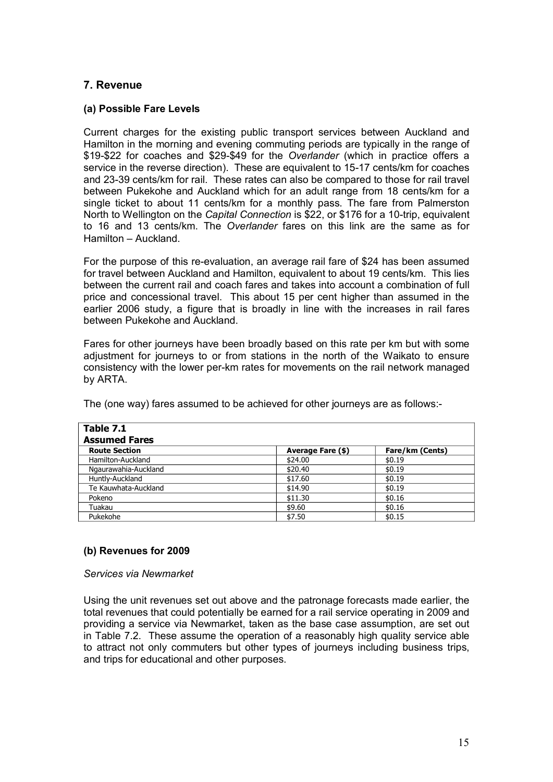# **7. Revenue**

#### **(a) Possible Fare Levels**

Current charges for the existing public transport services between Auckland and Hamilton in the morning and evening commuting periods are typically in the range of \$19\$22 for coaches and \$29\$49 for the *Overlander* (which in practice offers a service in the reverse direction). These are equivalent to 15-17 cents/km for coaches and 23-39 cents/km for rail. These rates can also be compared to those for rail travel between Pukekohe and Auckland which for an adult range from 18 cents/km for a single ticket to about 11 cents/km for a monthly pass. The fare from Palmerston North to Wellington on the *Capital Connection* is \$22, or \$176 for a 10-trip, equivalent to 16 and 13 cents/km. The *Overlander* fares on this link are the same as for Hamilton – Auckland.

For the purpose of this re-evaluation, an average rail fare of \$24 has been assumed for travel between Auckland and Hamilton, equivalent to about 19 cents/km. This lies between the current rail and coach fares and takes into account a combination of full price and concessional travel. This about 15 per cent higher than assumed in the earlier 2006 study, a figure that is broadly in line with the increases in rail fares between Pukekohe and Auckland.

Fares for other journeys have been broadly based on this rate per km but with some adjustment for journeys to or from stations in the north of the Waikato to ensure consistency with the lower perkm rates for movements on the rail network managed by ARTA.

| Table 7.1<br><b>Assumed Fares</b> |                   |                 |
|-----------------------------------|-------------------|-----------------|
| <b>Route Section</b>              | Average Fare (\$) | Fare/km (Cents) |
| Hamilton-Auckland                 | \$24.00           | \$0.19          |
| Ngaurawahia-Auckland              | \$20.40           | \$0.19          |
| Huntly-Auckland                   | \$17.60           | \$0.19          |
| Te Kauwhata-Auckland              | \$14.90           | \$0.19          |
| Pokeno                            | \$11.30           | \$0.16          |
| Tuakau                            | \$9.60            | \$0.16          |
| Pukekohe                          | \$7.50            | \$0.15          |

The (one way) fares assumed to be achieved for other journeys are as follows:

#### **(b) Revenues for 2009**

#### *Services via Newmarket*

Using the unit revenues set out above and the patronage forecasts made earlier, the total revenues that could potentially be earned for a rail service operating in 2009 and providing a service via Newmarket, taken as the base case assumption, are set out in Table 7.2. These assume the operation of a reasonably high quality service able to attract not only commuters but other types of journeys including business trips, and trips for educational and other purposes.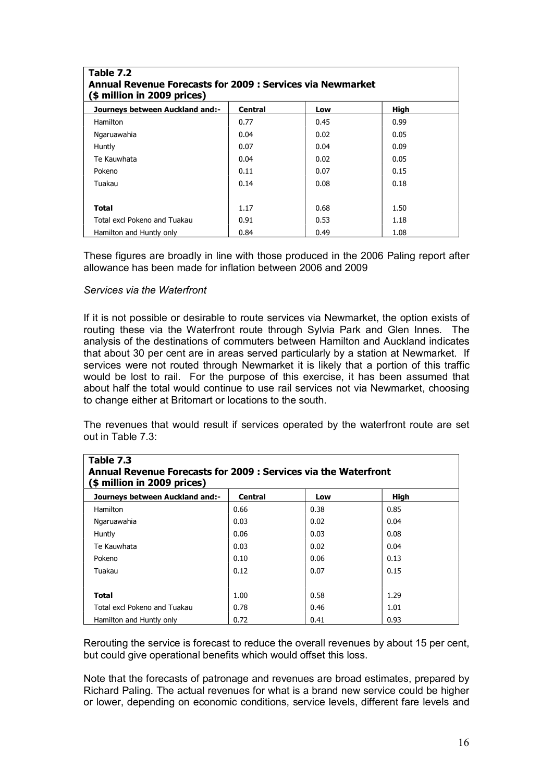| Table 7.2<br>Annual Revenue Forecasts for 2009 : Services via Newmarket<br>(\$ million in 2009 prices) |                               |      |      |  |  |  |  |
|--------------------------------------------------------------------------------------------------------|-------------------------------|------|------|--|--|--|--|
| Journeys between Auckland and:-                                                                        | <b>Central</b><br>High<br>Low |      |      |  |  |  |  |
| <b>Hamilton</b>                                                                                        | 0.77                          | 0.45 | 0.99 |  |  |  |  |
| Ngaruawahia                                                                                            | 0.04                          | 0.02 | 0.05 |  |  |  |  |
| Huntly                                                                                                 | 0.07                          | 0.04 | 0.09 |  |  |  |  |
| Te Kauwhata                                                                                            | 0.04                          | 0.02 | 0.05 |  |  |  |  |
| Pokeno                                                                                                 | 0.11                          | 0.07 | 0.15 |  |  |  |  |
| Tuakau                                                                                                 | 0.14                          | 0.08 | 0.18 |  |  |  |  |
|                                                                                                        |                               |      |      |  |  |  |  |
| Total                                                                                                  | 1.17                          | 0.68 | 1.50 |  |  |  |  |
| Total excl Pokeno and Tuakau                                                                           | 0.91                          | 0.53 | 1.18 |  |  |  |  |
| Hamilton and Huntly only                                                                               | 0.84                          | 0.49 | 1.08 |  |  |  |  |

These figures are broadly in line with those produced in the 2006 Paling report after allowance has been made for inflation between 2006 and 2009

#### *Services via the Waterfront*

If it is not possible or desirable to route services via Newmarket, the option exists of routing these via the Waterfront route through Sylvia Park and Glen Innes. The analysis of the destinations of commuters between Hamilton and Auckland indicates that about 30 per cent are in areas served particularly by a station at Newmarket. If services were not routed through Newmarket it is likely that a portion of this traffic would be lost to rail. For the purpose of this exercise, it has been assumed that about half the total would continue to use rail services not via Newmarket, choosing to change either at Britomart or locations to the south.

The revenues that would result if services operated by the waterfront route are set out in Table 7.3:

| Table 7.3<br>Annual Revenue Forecasts for 2009 : Services via the Waterfront<br>(\$ million in 2009 prices) |                               |      |      |  |  |  |  |
|-------------------------------------------------------------------------------------------------------------|-------------------------------|------|------|--|--|--|--|
| Journeys between Auckland and:-                                                                             | High<br><b>Central</b><br>Low |      |      |  |  |  |  |
| Hamilton                                                                                                    | 0.66                          | 0.38 | 0.85 |  |  |  |  |
| Ngaruawahia                                                                                                 | 0.03                          | 0.02 | 0.04 |  |  |  |  |
| Huntly                                                                                                      | 0.06                          | 0.03 | 0.08 |  |  |  |  |
| Te Kauwhata                                                                                                 | 0.03                          | 0.02 | 0.04 |  |  |  |  |
| Pokeno                                                                                                      | 0.10                          | 0.06 | 0.13 |  |  |  |  |
| Tuakau                                                                                                      | 0.12                          | 0.07 | 0.15 |  |  |  |  |
|                                                                                                             |                               |      |      |  |  |  |  |
| Total                                                                                                       | 1.00                          | 0.58 | 1.29 |  |  |  |  |
| Total excl Pokeno and Tuakau                                                                                | 0.78                          | 0.46 | 1.01 |  |  |  |  |
| Hamilton and Huntly only                                                                                    | 0.72                          | 0.41 | 0.93 |  |  |  |  |

Rerouting the service is forecast to reduce the overall revenues by about 15 per cent, but could give operational benefits which would offset this loss.

Note that the forecasts of patronage and revenues are broad estimates, prepared by Richard Paling. The actual revenues for what is a brand new service could be higher or lower, depending on economic conditions, service levels, different fare levels and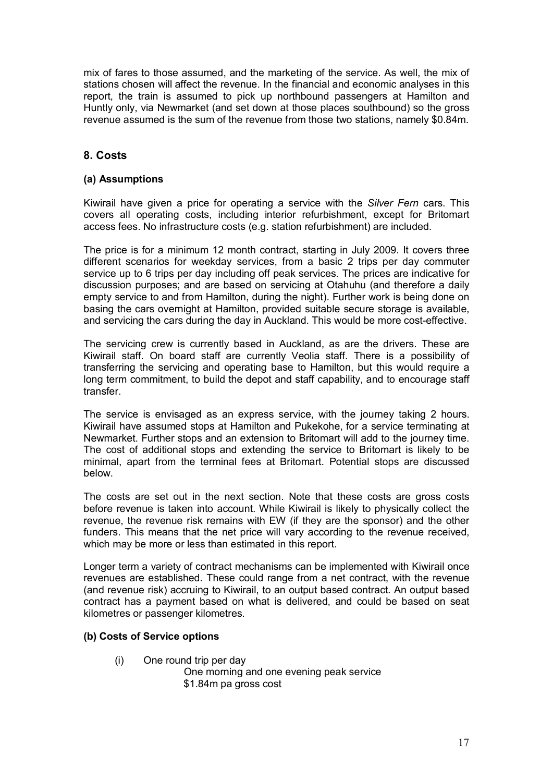mix of fares to those assumed, and the marketing of the service. As well, the mix of stations chosen will affect the revenue. In the financial and economic analyses in this report, the train is assumed to pick up northbound passengers at Hamilton and Huntly only, via Newmarket (and set down at those places southbound) so the gross revenue assumed is the sum of the revenue from those two stations, namely \$0.84m.

# **8. Costs**

# **(a) Assumptions**

Kiwirail have given a price for operating a service with the *Silver Fern* cars. This covers all operating costs, including interior refurbishment, except for Britomart access fees. No infrastructure costs (e.g. station refurbishment) are included.

The price is for a minimum 12 month contract, starting in July 2009. It covers three different scenarios for weekday services, from a basic 2 trips per day commuter service up to 6 trips per day including off peak services. The prices are indicative for discussion purposes; and are based on servicing at Otahuhu (and therefore a daily empty service to and from Hamilton, during the night). Further work is being done on basing the cars overnight at Hamilton, provided suitable secure storage is available, and servicing the cars during the day in Auckland. This would be more costeffective.

The servicing crew is currently based in Auckland, as are the drivers. These are Kiwirail staff. On board staff are currently Veolia staff. There is a possibility of transferring the servicing and operating base to Hamilton, but this would require a long term commitment, to build the depot and staff capability, and to encourage staff transfer.

The service is envisaged as an express service, with the journey taking 2 hours. Kiwirail have assumed stops at Hamilton and Pukekohe, for a service terminating at Newmarket. Further stops and an extension to Britomart will add to the journey time. The cost of additional stops and extending the service to Britomart is likely to be minimal, apart from the terminal fees at Britomart. Potential stops are discussed below.

The costs are set out in the next section. Note that these costs are gross costs before revenue is taken into account. While Kiwirail is likely to physically collect the revenue, the revenue risk remains with EW (if they are the sponsor) and the other funders. This means that the net price will vary according to the revenue received, which may be more or less than estimated in this report.

Longer term a variety of contract mechanisms can be implemented with Kiwirail once revenues are established. These could range from a net contract, with the revenue (and revenue risk) accruing to Kiwirail, to an output based contract. An output based contract has a payment based on what is delivered, and could be based on seat kilometres or passenger kilometres.

#### **(b) Costs of Service options**

(i) One round trip per day

One morning and one evening peak service \$1.84m pa gross cost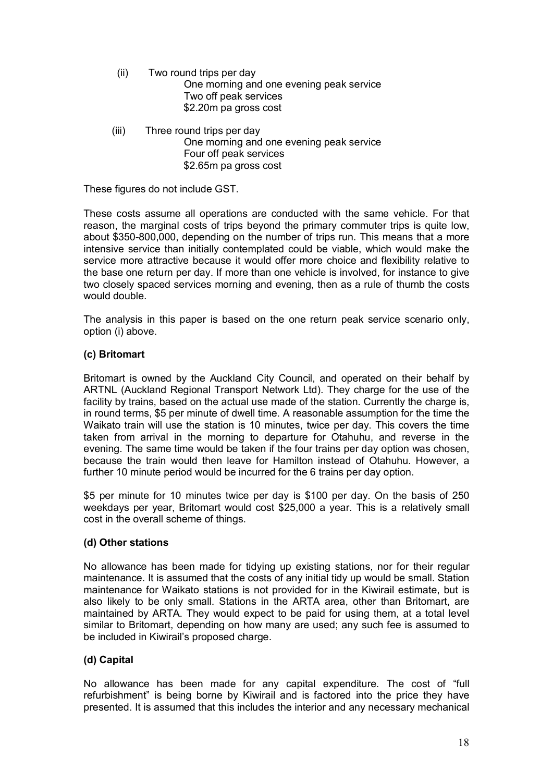- (ii) Two round trips per day One morning and one evening peak service Two off peak services \$2.20m pa gross cost
- (iii) Three round trips per day One morning and one evening peak service Four off peak services \$2.65m pa gross cost

These figures do not include GST.

These costs assume all operations are conducted with the same vehicle. For that reason, the marginal costs of trips beyond the primary commuter trips is quite low, about \$350-800,000, depending on the number of trips run. This means that a more intensive service than initially contemplated could be viable, which would make the service more attractive because it would offer more choice and flexibility relative to the base one return per day. If more than one vehicle is involved, for instance to give two closely spaced services morning and evening, then as a rule of thumb the costs would double.

The analysis in this paper is based on the one return peak service scenario only, option (i) above.

# **(c) Britomart**

Britomart is owned by the Auckland City Council, and operated on their behalf by ARTNL (Auckland Regional Transport Network Ltd). They charge for the use of the facility by trains, based on the actual use made of the station. Currently the charge is, in round terms, \$5 per minute of dwell time. A reasonable assumption for the time the Waikato train will use the station is 10 minutes, twice per day. This covers the time taken from arrival in the morning to departure for Otahuhu, and reverse in the evening. The same time would be taken if the four trains per day option was chosen, because the train would then leave for Hamilton instead of Otahuhu. However, a further 10 minute period would be incurred for the 6 trains per day option.

\$5 per minute for 10 minutes twice per day is \$100 per day. On the basis of 250 weekdays per year, Britomart would cost \$25,000 a year. This is a relatively small cost in the overall scheme of things.

#### **(d) Other stations**

No allowance has been made for tidying up existing stations, nor for their regular maintenance. It is assumed that the costs of any initial tidy up would be small. Station maintenance for Waikato stations is not provided for in the Kiwirail estimate, but is also likely to be only small. Stations in the ARTA area, other than Britomart, are maintained by ARTA. They would expect to be paid for using them, at a total level similar to Britomart, depending on how many are used; any such fee is assumed to be included in Kiwirail's proposed charge.

# **(d) Capital**

No allowance has been made for any capital expenditure. The cost of "full refurbishment" is being borne by Kiwirail and is factored into the price they have presented. It is assumed that this includes the interior and any necessary mechanical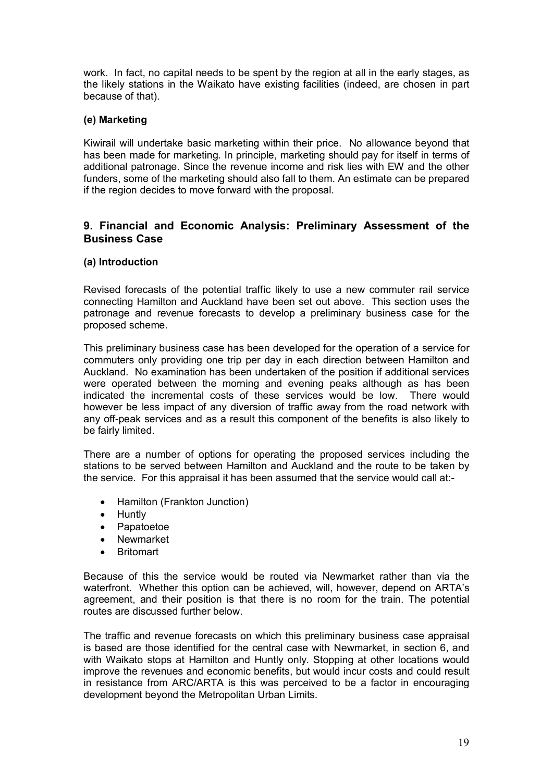work. In fact, no capital needs to be spent by the region at all in the early stages, as the likely stations in the Waikato have existing facilities (indeed, are chosen in part because of that).

#### **(e) Marketing**

Kiwirail will undertake basic marketing within their price. No allowance beyond that has been made for marketing. In principle, marketing should pay for itself in terms of additional patronage. Since the revenue income and risk lies with EW and the other funders, some of the marketing should also fall to them. An estimate can be prepared if the region decides to move forward with the proposal.

# **9. Financial and Economic Analysis: Preliminary Assessment of the Business Case**

#### **(a) Introduction**

Revised forecasts of the potential traffic likely to use a new commuter rail service connecting Hamilton and Auckland have been set out above. This section uses the patronage and revenue forecasts to develop a preliminary business case for the proposed scheme.

This preliminary business case has been developed for the operation of a service for commuters only providing one trip per day in each direction between Hamilton and Auckland. No examination has been undertaken of the position if additional services were operated between the morning and evening peaks although as has been indicated the incremental costs of these services would be low. There would however be less impact of any diversion of traffic away from the road network with any off-peak services and as a result this component of the benefits is also likely to be fairly limited.

There are a number of options for operating the proposed services including the stations to be served between Hamilton and Auckland and the route to be taken by the service. For this appraisal it has been assumed that the service would call at:

- · Hamilton (Frankton Junction)
- · Huntly
- · Papatoetoe
- **Newmarket**
- **Britomart**

Because of this the service would be routed via Newmarket rather than via the waterfront. Whether this option can be achieved, will, however, depend on ARTA's agreement, and their position is that there is no room for the train. The potential routes are discussed further below.

The traffic and revenue forecasts on which this preliminary business case appraisal is based are those identified for the central case with Newmarket, in section 6, and with Waikato stops at Hamilton and Huntly only. Stopping at other locations would improve the revenues and economic benefits, but would incur costs and could result in resistance from ARC/ARTA is this was perceived to be a factor in encouraging development beyond the Metropolitan Urban Limits.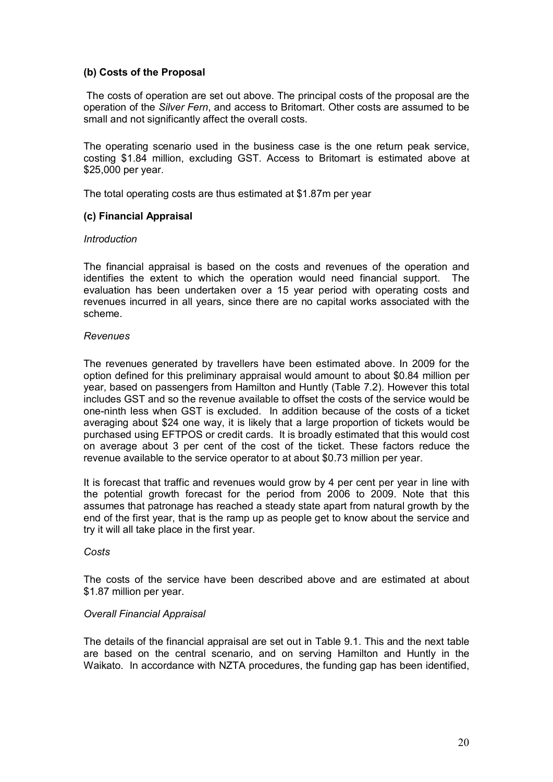#### **(b) Costs of the Proposal**

The costs of operation are set out above. The principal costs of the proposal are the operation of the *Silver Fern*, and access to Britomart. Other costs are assumed to be small and not significantly affect the overall costs.

The operating scenario used in the business case is the one return peak service, costing \$1.84 million, excluding GST. Access to Britomart is estimated above at \$25,000 per year.

The total operating costs are thus estimated at \$1.87m per year

#### **(c) Financial Appraisal**

#### *Introduction*

The financial appraisal is based on the costs and revenues of the operation and identifies the extent to which the operation would need financial support. The evaluation has been undertaken over a 15 year period with operating costs and revenues incurred in all years, since there are no capital works associated with the scheme.

#### *Revenues*

The revenues generated by travellers have been estimated above. In 2009 for the option defined for this preliminary appraisal would amount to about \$0.84 million per year, based on passengers from Hamilton and Huntly (Table 7.2). However this total includes GST and so the revenue available to offset the costs of the service would be one-ninth less when GST is excluded. In addition because of the costs of a ticket averaging about \$24 one way, it is likely that a large proportion of tickets would be purchased using EFTPOS or credit cards. It is broadly estimated that this would cost on average about 3 per cent of the cost of the ticket. These factors reduce the revenue available to the service operator to at about \$0.73 million per year.

It is forecast that traffic and revenues would grow by 4 per cent per year in line with the potential growth forecast for the period from 2006 to 2009. Note that this assumes that patronage has reached a steady state apart from natural growth by the end of the first year, that is the ramp up as people get to know about the service and try it will all take place in the first year.

#### *Costs*

The costs of the service have been described above and are estimated at about \$1.87 million per year.

#### *Overall Financial Appraisal*

The details of the financial appraisal are set out in Table 9.1. This and the next table are based on the central scenario, and on serving Hamilton and Huntly in the Waikato. In accordance with NZTA procedures, the funding gap has been identified,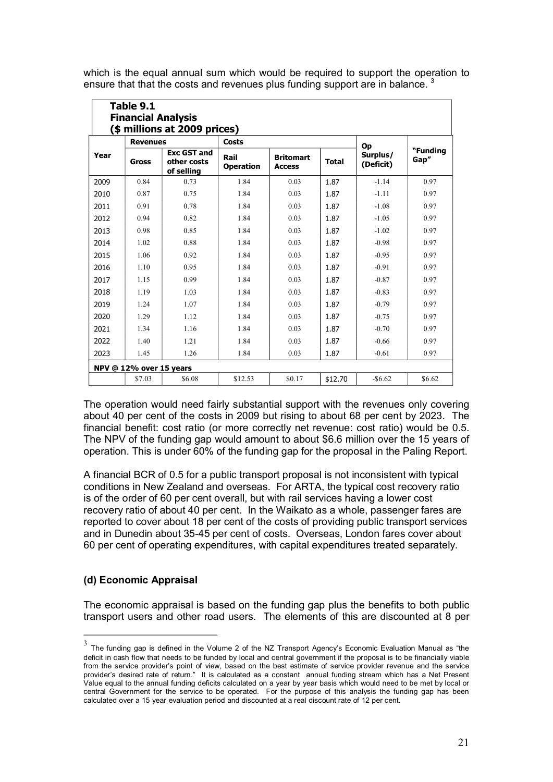| Table 9.1<br><b>Financial Analysis</b><br>(\$ millions at 2009 prices) |                         |                                                 |                          |                                   |              |                       |                  |
|------------------------------------------------------------------------|-------------------------|-------------------------------------------------|--------------------------|-----------------------------------|--------------|-----------------------|------------------|
|                                                                        | <b>Revenues</b>         |                                                 | Costs                    |                                   |              | Op                    |                  |
| Year                                                                   | <b>Gross</b>            | <b>Exc GST and</b><br>other costs<br>of selling | Rail<br><b>Operation</b> | <b>Britomart</b><br><b>Access</b> | <b>Total</b> | Surplus/<br>(Deficit) | "Funding<br>Gap" |
| 2009                                                                   | 0.84                    | 0.73                                            | 1.84                     | 0.03                              | 1.87         | $-1.14$               | 0.97             |
| 2010                                                                   | 0.87                    | 0.75                                            | 1.84                     | 0.03                              | 1.87         | $-1.11$               | 0.97             |
| 2011                                                                   | 0.91                    | 0.78                                            | 1.84                     | 0.03                              | 1.87         | $-1.08$               | 0.97             |
| 2012                                                                   | 0.94                    | 0.82                                            | 1.84                     | 0.03                              | 1.87         | $-1.05$               | 0.97             |
| 2013                                                                   | 0.98                    | 0.85                                            | 1.84                     | 0.03                              | 1.87         | $-1.02$               | 0.97             |
| 2014                                                                   | 1.02                    | 0.88                                            | 1.84                     | 0.03                              | 1.87         | $-0.98$               | 0.97             |
| 2015                                                                   | 1.06                    | 0.92                                            | 1.84                     | 0.03                              | 1.87         | $-0.95$               | 0.97             |
| 2016                                                                   | 1.10                    | 0.95                                            | 1.84                     | 0.03                              | 1.87         | $-0.91$               | 0.97             |
| 2017                                                                   | 1.15                    | 0.99                                            | 1.84                     | 0.03                              | 1.87         | $-0.87$               | 0.97             |
| 2018                                                                   | 1.19                    | 1.03                                            | 1.84                     | 0.03                              | 1.87         | $-0.83$               | 0.97             |
| 2019                                                                   | 1.24                    | 1.07                                            | 1.84                     | 0.03                              | 1.87         | $-0.79$               | 0.97             |
| 2020                                                                   | 1.29                    | 1.12                                            | 1.84                     | 0.03                              | 1.87         | $-0.75$               | 0.97             |
| 2021                                                                   | 1.34                    | 1.16                                            | 1.84                     | 0.03                              | 1.87         | $-0.70$               | 0.97             |
| 2022                                                                   | 1.40                    | 1.21                                            | 1.84                     | 0.03                              | 1.87         | $-0.66$               | 0.97             |
| 2023                                                                   | 1.45                    | 1.26                                            | 1.84                     | 0.03                              | 1.87         | $-0.61$               | 0.97             |
|                                                                        | NPV @ 12% over 15 years |                                                 |                          |                                   |              |                       |                  |
|                                                                        | \$7.03                  | \$6.08                                          | \$12.53                  | \$0.17                            | \$12.70      | $-$6.62$              | \$6.62           |

which is the equal annual sum which would be required to support the operation to ensure that that the costs and revenues plus funding support are in balance.<sup>3</sup>

The operation would need fairly substantial support with the revenues only covering about 40 per cent of the costs in 2009 but rising to about 68 per cent by 2023. The financial benefit: cost ratio (or more correctly net revenue: cost ratio) would be 0.5. The NPV of the funding gap would amount to about \$6.6 million over the 15 years of operation. This is under 60% of the funding gap for the proposal in the Paling Report.

A financial BCR of 0.5 for a public transport proposal is not inconsistent with typical conditions in New Zealand and overseas. For ARTA, the typical cost recovery ratio is of the order of 60 per cent overall, but with rail services having a lower cost recovery ratio of about 40 per cent. In the Waikato as a whole, passenger fares are reported to cover about 18 per cent of the costs of providing public transport services and in Dunedin about 3545 per cent of costs. Overseas, London fares cover about 60 per cent of operating expenditures, with capital expenditures treated separately.

#### **(d) Economic Appraisal**

The economic appraisal is based on the funding gap plus the benefits to both public transport users and other road users. The elements of this are discounted at 8 per

 $3$  The funding gap is defined in the Volume 2 of the NZ Transport Agency's Economic Evaluation Manual as "the deficit in cash flow that needs to be funded by local and central government if the proposal is to be financially viable from the service provider's point of view, based on the best estimate of service provider revenue and the service provider's desired rate of return." It is calculated as a constant annual funding stream which has a Net Present Value equal to the annual funding deficits calculated on a year by year basis which would need to be met by local or central Government for the service to be operated. For the purpose of this analysis the funding gap has been calculated over a 15 year evaluation period and discounted at a real discount rate of 12 per cent.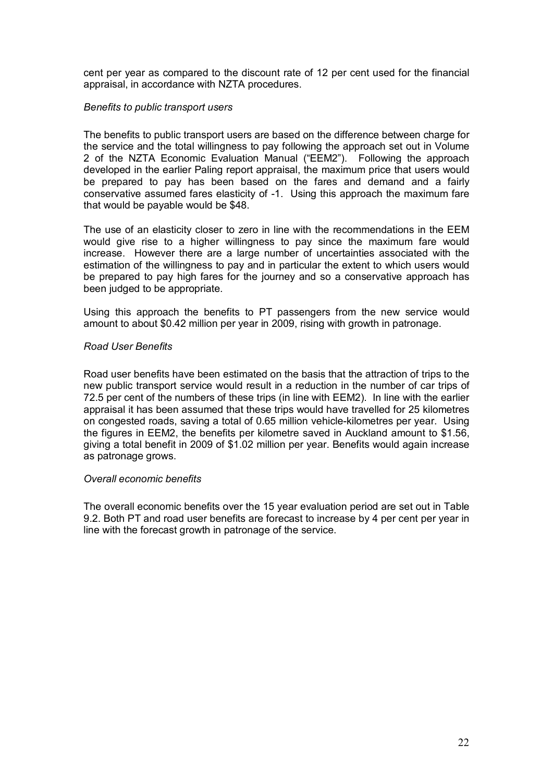cent per year as compared to the discount rate of 12 per cent used for the financial appraisal, in accordance with NZTA procedures.

#### *Benefits to public transport users*

The benefits to public transport users are based on the difference between charge for the service and the total willingness to pay following the approach set out in Volume 2 of the NZTA Economic Evaluation Manual ("EEM2"). Following the approach developed in the earlier Paling report appraisal, the maximum price that users would be prepared to pay has been based on the fares and demand and a fairly conservative assumed fares elasticity of 1. Using this approach the maximum fare that would be payable would be \$48.

The use of an elasticity closer to zero in line with the recommendations in the EEM would give rise to a higher willingness to pay since the maximum fare would increase. However there are a large number of uncertainties associated with the estimation of the willingness to pay and in particular the extent to which users would be prepared to pay high fares for the journey and so a conservative approach has been judged to be appropriate.

Using this approach the benefits to PT passengers from the new service would amount to about \$0.42 million per year in 2009, rising with growth in patronage.

#### *Road User Benefits*

Road user benefits have been estimated on the basis that the attraction of trips to the new public transport service would result in a reduction in the number of car trips of 72.5 per cent of the numbers of these trips (in line with EEM2). In line with the earlier appraisal it has been assumed that these trips would have travelled for 25 kilometres on congested roads, saving a total of 0.65 million vehiclekilometres per year. Using the figures in EEM2, the benefits per kilometre saved in Auckland amount to \$1.56, giving a total benefit in 2009 of \$1.02 million per year. Benefits would again increase as patronage grows.

#### *Overall economic benefits*

The overall economic benefits over the 15 year evaluation period are set out in Table 9.2. Both PT and road user benefits are forecast to increase by 4 per cent per year in line with the forecast growth in patronage of the service.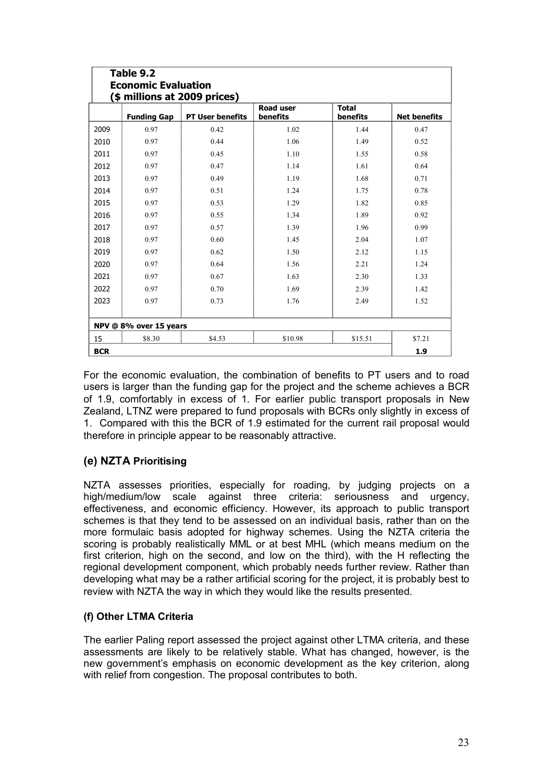| Table 9.2<br><b>Economic Evaluation</b><br>(\$ millions at 2009 prices) |                    |                         |                              |                          |                     |  |
|-------------------------------------------------------------------------|--------------------|-------------------------|------------------------------|--------------------------|---------------------|--|
|                                                                         | <b>Funding Gap</b> | <b>PT User benefits</b> | <b>Road user</b><br>benefits | <b>Total</b><br>benefits | <b>Net benefits</b> |  |
| 2009                                                                    | 0.97               | 0.42                    | 1.02                         | 1.44                     | 0.47                |  |
| 2010                                                                    | 0.97               | 0.44                    | 1.06                         | 1.49                     | 0.52                |  |
| 2011                                                                    | 0.97               | 0.45                    | 1.10                         | 1.55                     | 0.58                |  |
| 2012                                                                    | 0.97               | 0.47                    | 1.14                         | 1.61                     | 0.64                |  |
| 2013                                                                    | 0.97               | 0.49                    | 1.19                         | 1.68                     | 0.71                |  |
| 2014                                                                    | 0.97               | 0.51                    | 1.24                         | 1.75                     | 0.78                |  |
| 2015                                                                    | 0.97               | 0.53                    | 1.29                         | 1.82                     | 0.85                |  |
| 2016                                                                    | 0.97               | 0.55                    | 1.34                         | 1.89                     | 0.92                |  |
| 2017                                                                    | 0.97               | 0.57                    | 1.39                         | 1.96                     | 0.99                |  |
| 2018                                                                    | 0.97               | 0.60                    | 1.45                         | 2.04                     | 1.07                |  |
| 2019                                                                    | 0.97               | 0.62                    | 1.50                         | 2.12                     | 1.15                |  |
| 2020                                                                    | 0.97               | 0.64                    | 1.56                         | 2.21                     | 1.24                |  |
| 2021                                                                    | 0.97               | 0.67                    | 1.63                         | 2.30                     | 1.33                |  |
| 2022                                                                    | 0.97               | 0.70                    | 1.69                         | 2.39                     | 1.42                |  |
| 2023                                                                    | 0.97               | 0.73                    | 1.76                         | 2.49                     | 1.52                |  |
|                                                                         |                    |                         |                              |                          |                     |  |
| NPV @ 8% over 15 years                                                  |                    |                         |                              |                          |                     |  |
| 15                                                                      | \$8.30             | \$4.53                  | \$10.98                      | \$15.51                  | \$7.21              |  |
| <b>BCR</b>                                                              | 1.9                |                         |                              |                          |                     |  |

For the economic evaluation, the combination of benefits to PT users and to road users is larger than the funding gap for the project and the scheme achieves a BCR of 1.9, comfortably in excess of 1. For earlier public transport proposals in New Zealand, LTNZ were prepared to fund proposals with BCRs only slightly in excess of 1. Compared with this the BCR of 1.9 estimated for the current rail proposal would therefore in principle appear to be reasonably attractive.

# **(e) NZTA Prioritising**

NZTA assesses priorities, especially for roading, by judging projects on a high/medium/low scale against three criteria: seriousness and urgency, effectiveness, and economic efficiency. However, its approach to public transport schemes is that they tend to be assessed on an individual basis, rather than on the more formulaic basis adopted for highway schemes. Using the NZTA criteria the scoring is probably realistically MML or at best MHL (which means medium on the first criterion, high on the second, and low on the third), with the H reflecting the regional development component, which probably needs further review. Rather than developing what may be a rather artificial scoring for the project, it is probably best to review with NZTA the way in which they would like the results presented.

# **(f) Other LTMA Criteria**

The earlier Paling report assessed the project against other LTMA criteria, and these assessments are likely to be relatively stable. What has changed, however, is the new government's emphasis on economic development as the key criterion, along with relief from congestion. The proposal contributes to both.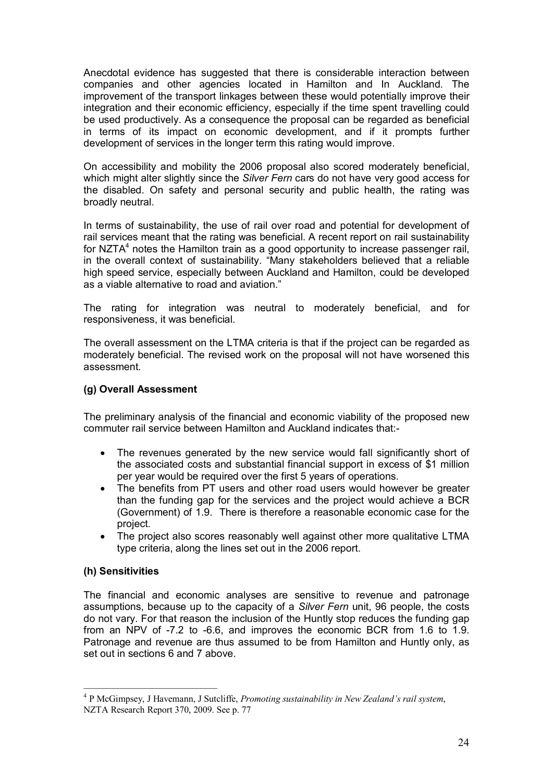Anecdotal evidence has suggested that there is considerable interaction between companies and other agencies located in Hamilton and In Auckland. The improvement of the transport linkages between these would potentially improve their integration and their economic efficiency, especially if the time spent travelling could be used productively. As a consequence the proposal can be regarded as beneficial in terms of its impact on economic development, and if it prompts further development of services in the longer term this rating would improve.

On accessibility and mobility the 2006 proposal also scored moderately beneficial, which might alter slightly since the *Silver Fern* cars do not have very good access for the disabled. On safety and personal security and public health, the rating was broadly neutral.

In terms of sustainability, the use of rail over road and potential for development of rail services meant that the rating was beneficial. A recent report on rail sustainability for NZT $A<sup>4</sup>$  notes the Hamilton train as a good opportunity to increase passenger rail, in the overall context of sustainability. "Many stakeholders believed that a reliable high speed service, especially between Auckland and Hamilton, could be developed as a viable alternative to road and aviation."

The rating for integration was neutral to moderately beneficial, and for responsiveness, it was beneficial.

The overall assessment on the LTMA criteria is that if the project can be regarded as moderately beneficial. The revised work on the proposal will not have worsened this assessment.

### **(g) Overall Assessment**

The preliminary analysis of the financial and economic viability of the proposed new commuter rail service between Hamilton and Auckland indicates that:

- The revenues generated by the new service would fall significantly short of the associated costs and substantial financial support in excess of \$1 million per year would be required over the first 5 years of operations.
- The benefits from PT users and other road users would however be greater than the funding gap for the services and the project would achieve a BCR (Government) of 1.9. There is therefore a reasonable economic case for the project.
- The project also scores reasonably well against other more qualitative LTMA type criteria, along the lines set out in the 2006 report.

#### **(h) Sensitivities**

The financial and economic analyses are sensitive to revenue and patronage assumptions, because up to the capacity of a *Silver Fern* unit, 96 people, the costs do not vary. For that reason the inclusion of the Huntly stop reduces the funding gap from an NPV of  $-7.2$  to  $-6.6$ , and improves the economic BCR from 1.6 to 1.9. Patronage and revenue are thus assumed to be from Hamilton and Huntly only, as set out in sections 6 and 7 above.

<sup>4</sup> P McGimpsey, J Havemann, J Sutcliffe, *Promoting sustainability in New Zealand's rail system*, NZTA Research Report 370, 2009. See p. 77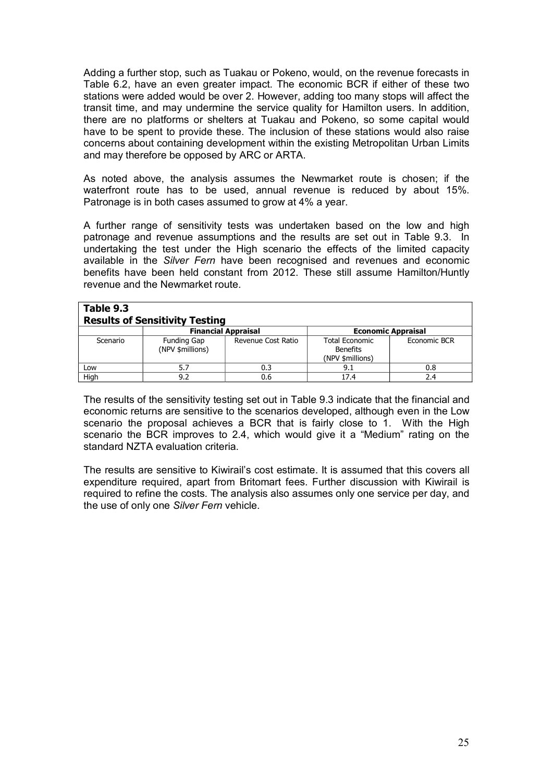Adding a further stop, such as Tuakau or Pokeno, would, on the revenue forecasts in Table 6.2, have an even greater impact. The economic BCR if either of these two stations were added would be over 2. However, adding too many stops will affect the transit time, and may undermine the service quality for Hamilton users. In addition, there are no platforms or shelters at Tuakau and Pokeno, so some capital would have to be spent to provide these. The inclusion of these stations would also raise concerns about containing development within the existing Metropolitan Urban Limits and may therefore be opposed by ARC or ARTA.

As noted above, the analysis assumes the Newmarket route is chosen; if the waterfront route has to be used, annual revenue is reduced by about 15%. Patronage is in both cases assumed to grow at 4% a year.

A further range of sensitivity tests was undertaken based on the low and high patronage and revenue assumptions and the results are set out in Table 9.3. In undertaking the test under the High scenario the effects of the limited capacity available in the *Silver Fern* have been recognised and revenues and economic benefits have been held constant from 2012. These still assume Hamilton/Huntly revenue and the Newmarket route.

| Table 9.3<br><b>Results of Sensitivity Testing</b> |                                 |                    |                                                              |              |  |
|----------------------------------------------------|---------------------------------|--------------------|--------------------------------------------------------------|--------------|--|
|                                                    | <b>Financial Appraisal</b>      |                    | <b>Economic Appraisal</b>                                    |              |  |
| Scenario                                           | Funding Gap<br>(NPV \$millions) | Revenue Cost Ratio | <b>Total Economic</b><br><b>Benefits</b><br>(NPV \$millions) | Economic BCR |  |
| Low                                                | 5.7                             | 0.3                | 9.1                                                          | 0.8          |  |
| High                                               | 9.2                             | 0.6                | 17.4                                                         | 2.4          |  |

The results of the sensitivity testing set out in Table 9.3 indicate that the financial and economic returns are sensitive to the scenarios developed, although even in the Low scenario the proposal achieves a BCR that is fairly close to 1. With the High scenario the BCR improves to 2.4, which would give it a "Medium" rating on the standard NZTA evaluation criteria.

The results are sensitive to Kiwirail's cost estimate. It is assumed that this covers all expenditure required, apart from Britomart fees. Further discussion with Kiwirail is required to refine the costs. The analysis also assumes only one service per day, and the use of only one *Silver Fern* vehicle.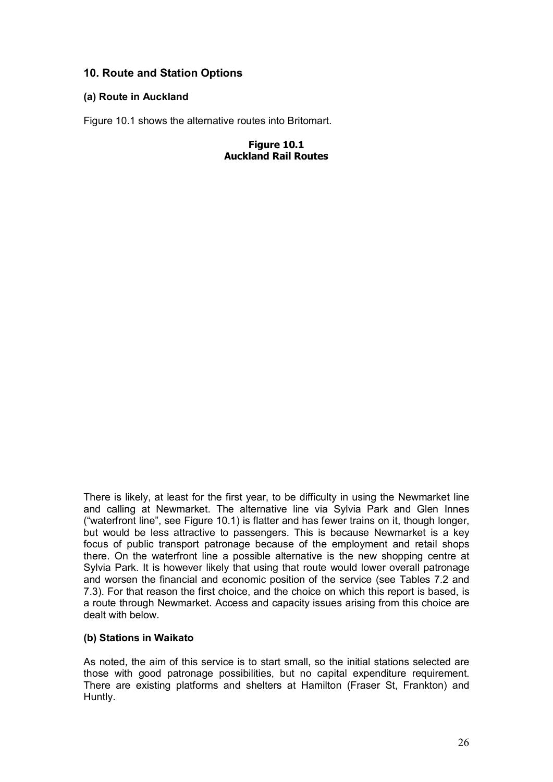# **10. Route and Station Options**

# **(a) Route in Auckland**

Figure 10.1 shows the alternative routes into Britomart.

**Figure 10.1 Auckland Rail Routes**

There is likely, at least for the first year, to be difficulty in using the Newmarket line and calling at Newmarket. The alternative line via Sylvia Park and Glen Innes ("waterfront line", see Figure 10.1) is flatter and has fewer trains on it, though longer, but would be less attractive to passengers. This is because Newmarket is a key focus of public transport patronage because of the employment and retail shops there. On the waterfront line a possible alternative is the new shopping centre at Sylvia Park. It is however likely that using that route would lower overall patronage and worsen the financial and economic position of the service (see Tables 7.2 and 7.3). For that reason the first choice, and the choice on which this report is based, is a route through Newmarket. Access and capacity issues arising from this choice are dealt with below.

#### **(b) Stations in Waikato**

As noted, the aim of this service is to start small, so the initial stations selected are those with good patronage possibilities, but no capital expenditure requirement. There are existing platforms and shelters at Hamilton (Fraser St, Frankton) and Huntly.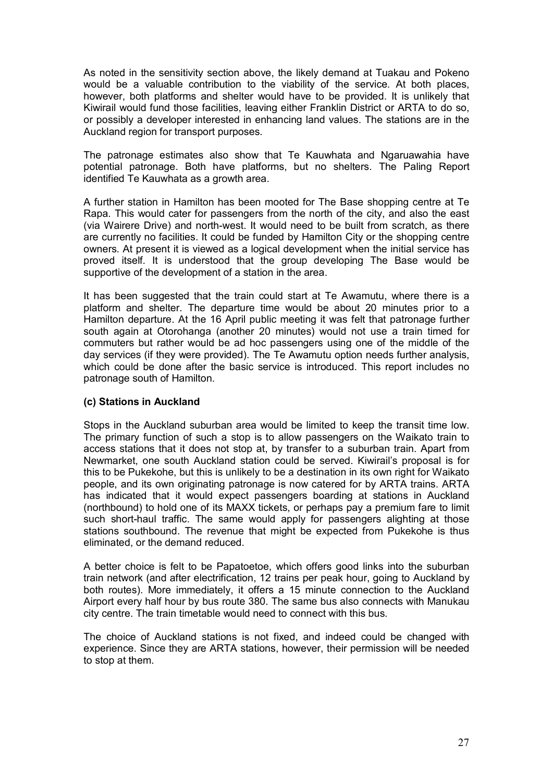As noted in the sensitivity section above, the likely demand at Tuakau and Pokeno would be a valuable contribution to the viability of the service. At both places, however, both platforms and shelter would have to be provided. It is unlikely that Kiwirail would fund those facilities, leaving either Franklin District or ARTA to do so, or possibly a developer interested in enhancing land values. The stations are in the Auckland region for transport purposes.

The patronage estimates also show that Te Kauwhata and Ngaruawahia have potential patronage. Both have platforms, but no shelters. The Paling Report identified Te Kauwhata as a growth area.

A further station in Hamilton has been mooted for The Base shopping centre at Te Rapa. This would cater for passengers from the north of the city, and also the east (via Wairere Drive) and north-west. It would need to be built from scratch, as there are currently no facilities. It could be funded by Hamilton City or the shopping centre owners. At present it is viewed as a logical development when the initial service has proved itself. It is understood that the group developing The Base would be supportive of the development of a station in the area.

It has been suggested that the train could start at Te Awamutu, where there is a platform and shelter. The departure time would be about 20 minutes prior to a Hamilton departure. At the 16 April public meeting it was felt that patronage further south again at Otorohanga (another 20 minutes) would not use a train timed for commuters but rather would be ad hoc passengers using one of the middle of the day services (if they were provided). The Te Awamutu option needs further analysis, which could be done after the basic service is introduced. This report includes no patronage south of Hamilton.

#### **(c) Stations in Auckland**

Stops in the Auckland suburban area would be limited to keep the transit time low. The primary function of such a stop is to allow passengers on the Waikato train to access stations that it does not stop at, by transfer to a suburban train. Apart from Newmarket, one south Auckland station could be served. Kiwirail's proposal is for this to be Pukekohe, but this is unlikely to be a destination in its own right for Waikato people, and its own originating patronage is now catered for by ARTA trains. ARTA has indicated that it would expect passengers boarding at stations in Auckland (northbound) to hold one of its MAXX tickets, or perhaps pay a premium fare to limit such short-haul traffic. The same would apply for passengers alighting at those stations southbound. The revenue that might be expected from Pukekohe is thus eliminated, or the demand reduced.

A better choice is felt to be Papatoetoe, which offers good links into the suburban train network (and after electrification, 12 trains per peak hour, going to Auckland by both routes). More immediately, it offers a 15 minute connection to the Auckland Airport every half hour by bus route 380. The same bus also connects with Manukau city centre. The train timetable would need to connect with this bus.

The choice of Auckland stations is not fixed, and indeed could be changed with experience. Since they are ARTA stations, however, their permission will be needed to stop at them.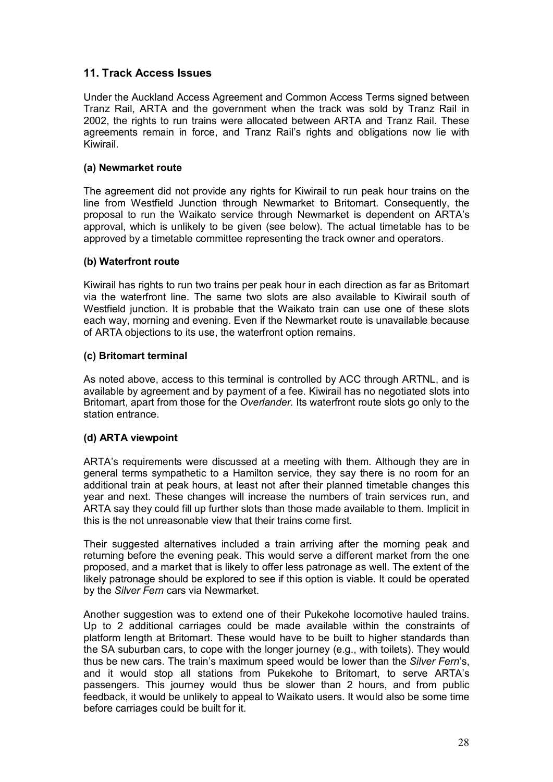# **11. Track Access Issues**

Under the Auckland Access Agreement and Common Access Terms signed between Tranz Rail, ARTA and the government when the track was sold by Tranz Rail in 2002, the rights to run trains were allocated between ARTA and Tranz Rail. These agreements remain in force, and Tranz Rail's rights and obligations now lie with Kiwirail.

### **(a) Newmarket route**

The agreement did not provide any rights for Kiwirail to run peak hour trains on the line from Westfield Junction through Newmarket to Britomart. Consequently, the proposal to run the Waikato service through Newmarket is dependent on ARTA's approval, which is unlikely to be given (see below). The actual timetable has to be approved by a timetable committee representing the track owner and operators.

# **(b) Waterfront route**

Kiwirail has rights to run two trains per peak hour in each direction as far as Britomart via the waterfront line. The same two slots are also available to Kiwirail south of Westfield junction. It is probable that the Waikato train can use one of these slots each way, morning and evening. Even if the Newmarket route is unavailable because of ARTA objections to its use, the waterfront option remains.

# **(c) Britomart terminal**

As noted above, access to this terminal is controlled by ACC through ARTNL, and is available by agreement and by payment of a fee. Kiwirail has no negotiated slots into Britomart, apart from those for the *Overlander.* Its waterfront route slots go only to the station entrance.

# **(d) ARTA viewpoint**

ARTA's requirements were discussed at a meeting with them. Although they are in general terms sympathetic to a Hamilton service, they say there is no room for an additional train at peak hours, at least not after their planned timetable changes this year and next. These changes will increase the numbers of train services run, and ARTA say they could fill up further slots than those made available to them. Implicit in this is the not unreasonable view that their trains come first.

Their suggested alternatives included a train arriving after the morning peak and returning before the evening peak. This would serve a different market from the one proposed, and a market that is likely to offer less patronage as well. The extent of the likely patronage should be explored to see if this option is viable. It could be operated by the *Silver Fern* cars via Newmarket.

Another suggestion was to extend one of their Pukekohe locomotive hauled trains. Up to 2 additional carriages could be made available within the constraints of platform length at Britomart. These would have to be built to higher standards than the SA suburban cars, to cope with the longer journey (e.g., with toilets). They would thus be new cars. The train's maximum speed would be lower than the *Silver Fern*'s, and it would stop all stations from Pukekohe to Britomart, to serve ARTA's passengers. This journey would thus be slower than 2 hours, and from public feedback, it would be unlikely to appeal to Waikato users. It would also be some time before carriages could be built for it.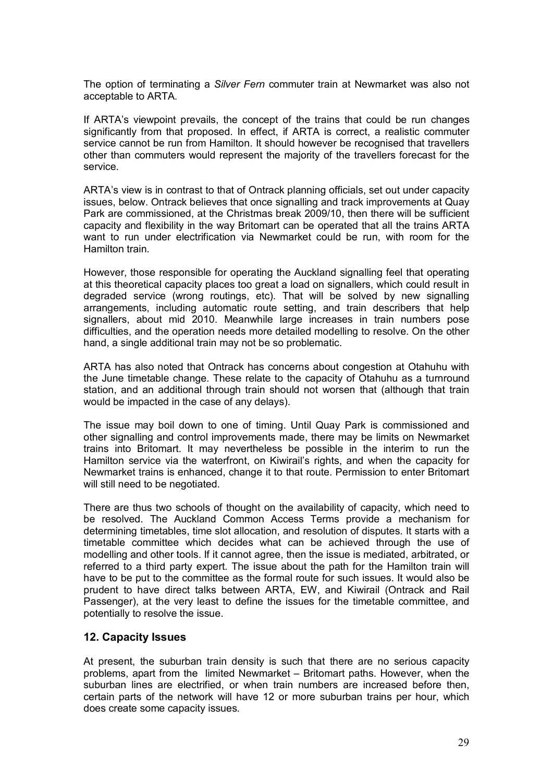The option of terminating a *Silver Fern* commuter train at Newmarket was also not acceptable to ARTA.

If ARTA's viewpoint prevails, the concept of the trains that could be run changes significantly from that proposed. In effect, if ARTA is correct, a realistic commuter service cannot be run from Hamilton. It should however be recognised that travellers other than commuters would represent the majority of the travellers forecast for the service.

ARTA's view is in contrast to that of Ontrack planning officials, set out under capacity issues, below. Ontrack believes that once signalling and track improvements at Quay Park are commissioned, at the Christmas break 2009/10, then there will be sufficient capacity and flexibility in the way Britomart can be operated that all the trains ARTA want to run under electrification via Newmarket could be run, with room for the Hamilton train.

However, those responsible for operating the Auckland signalling feel that operating at this theoretical capacity places too great a load on signallers, which could result in degraded service (wrong routings, etc). That will be solved by new signalling arrangements, including automatic route setting, and train describers that help signallers, about mid 2010. Meanwhile large increases in train numbers pose difficulties, and the operation needs more detailed modelling to resolve. On the other hand, a single additional train may not be so problematic.

ARTA has also noted that Ontrack has concerns about congestion at Otahuhu with the June timetable change. These relate to the capacity of Otahuhu as a turnround station, and an additional through train should not worsen that (although that train would be impacted in the case of any delays).

The issue may boil down to one of timing. Until Quay Park is commissioned and other signalling and control improvements made, there may be limits on Newmarket trains into Britomart. It may nevertheless be possible in the interim to run the Hamilton service via the waterfront, on Kiwirail's rights, and when the capacity for Newmarket trains is enhanced, change it to that route. Permission to enter Britomart will still need to be negotiated.

There are thus two schools of thought on the availability of capacity, which need to be resolved. The Auckland Common Access Terms provide a mechanism for determining timetables, time slot allocation, and resolution of disputes. It starts with a timetable committee which decides what can be achieved through the use of modelling and other tools. If it cannot agree, then the issue is mediated, arbitrated, or referred to a third party expert. The issue about the path for the Hamilton train will have to be put to the committee as the formal route for such issues. It would also be prudent to have direct talks between ARTA, EW, and Kiwirail (Ontrack and Rail Passenger), at the very least to define the issues for the timetable committee, and potentially to resolve the issue.

#### **12. Capacity Issues**

At present, the suburban train density is such that there are no serious capacity problems, apart from the limited Newmarket – Britomart paths. However, when the suburban lines are electrified, or when train numbers are increased before then, certain parts of the network will have 12 or more suburban trains per hour, which does create some capacity issues.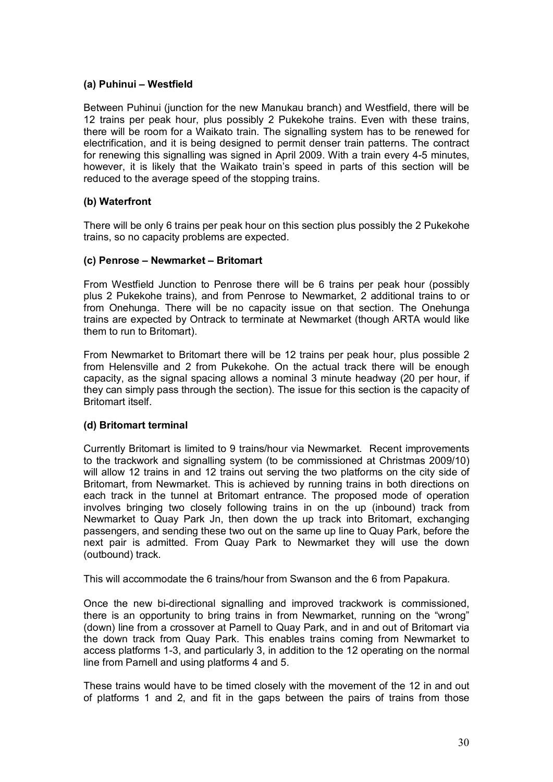# **(a) Puhinui – Westfield**

Between Puhinui (junction for the new Manukau branch) and Westfield, there will be 12 trains per peak hour, plus possibly 2 Pukekohe trains. Even with these trains, there will be room for a Waikato train. The signalling system has to be renewed for electrification, and it is being designed to permit denser train patterns. The contract for renewing this signalling was signed in April 2009. With a train every 45 minutes, however, it is likely that the Waikato train's speed in parts of this section will be reduced to the average speed of the stopping trains.

# **(b) Waterfront**

There will be only 6 trains per peak hour on this section plus possibly the 2 Pukekohe trains, so no capacity problems are expected.

#### **(c) Penrose – Newmarket – Britomart**

From Westfield Junction to Penrose there will be 6 trains per peak hour (possibly plus 2 Pukekohe trains), and from Penrose to Newmarket, 2 additional trains to or from Onehunga. There will be no capacity issue on that section. The Onehunga trains are expected by Ontrack to terminate at Newmarket (though ARTA would like them to run to Britomart).

From Newmarket to Britomart there will be 12 trains per peak hour, plus possible 2 from Helensville and 2 from Pukekohe. On the actual track there will be enough capacity, as the signal spacing allows a nominal 3 minute headway (20 per hour, if they can simply pass through the section). The issue for this section is the capacity of Britomart itself.

#### **(d) Britomart terminal**

Currently Britomart is limited to 9 trains/hour via Newmarket. Recent improvements to the trackwork and signalling system (to be commissioned at Christmas 2009/10) will allow 12 trains in and 12 trains out serving the two platforms on the city side of Britomart, from Newmarket. This is achieved by running trains in both directions on each track in the tunnel at Britomart entrance. The proposed mode of operation involves bringing two closely following trains in on the up (inbound) track from Newmarket to Quay Park Jn, then down the up track into Britomart, exchanging passengers, and sending these two out on the same up line to Quay Park, before the next pair is admitted. From Quay Park to Newmarket they will use the down (outbound) track.

This will accommodate the 6 trains/hour from Swanson and the 6 from Papakura.

Once the new bi-directional signalling and improved trackwork is commissioned, there is an opportunity to bring trains in from Newmarket, running on the "wrong" (down) line from acrossover at Parnell to Quay Park, and in and out of Britomart via the down track from Quay Park. This enables trains coming from Newmarket to access platforms 1-3, and particularly 3, in addition to the 12 operating on the normal line from Parnell and using platforms 4 and 5.

These trains would have to be timed closely with the movement of the 12 in and out of platforms 1 and 2, and fit in the gaps between the pairs of trains from those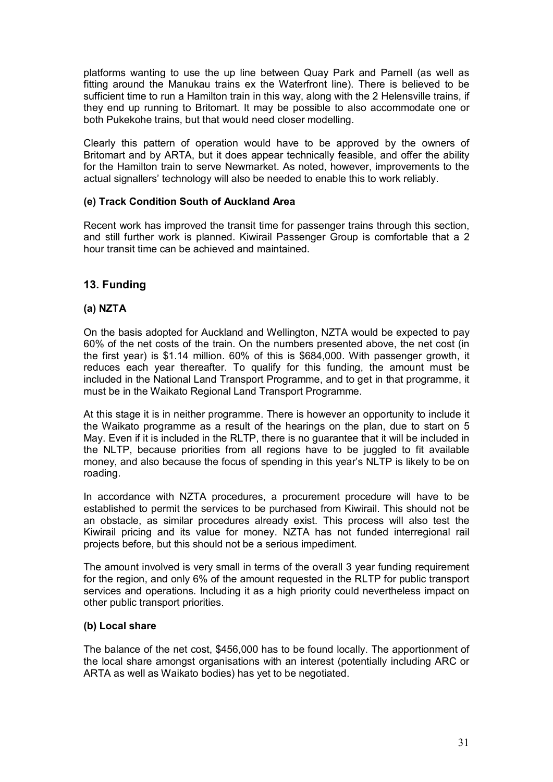platforms wanting to use the up line between Quay Park and Parnell (as well as fitting around the Manukau trains ex the Waterfront line). There is believed to be sufficient time to run a Hamilton train in this way, along with the 2 Helensville trains, if they end up running to Britomart. It may be possible to also accommodate one or both Pukekohe trains, but that would need closer modelling.

Clearly this pattern of operation would have to be approved by the owners of Britomart and by ARTA, but it does appear technically feasible, and offer the ability for the Hamilton train to serve Newmarket. As noted, however, improvements to the actual signallers' technology will also be needed to enable this to work reliably.

# **(e) Track Condition South of Auckland Area**

Recent work has improved the transit time for passenger trains through this section, and still further work is planned. Kiwirail Passenger Group is comfortable that a 2 hour transit time can be achieved and maintained.

# **13. Funding**

#### **(a) NZTA**

On the basis adopted for Auckland and Wellington, NZTA would be expected to pay 60% of the net costs of the train. On the numbers presented above, the net cost (in the first year) is \$1.14 million. 60% of this is \$684,000. With passenger growth, it reduces each year thereafter. To qualify for this funding, the amount must be included in the National Land Transport Programme, and to get in that programme, it must be in the Waikato Regional Land Transport Programme.

At this stage it is in neither programme. There is however an opportunity to include it the Waikato programme as a result of the hearings on the plan, due to start on 5 May. Even if it is included in the RLTP, there is no guarantee that it will be included in the NLTP, because priorities from all regions have to be juggled to fit available money, and also because the focus of spending in this year's NLTP is likely to be on roading.

In accordance with NZTA procedures, a procurement procedure will have to be established to permit the services to be purchased from Kiwirail. This should not be an obstacle, as similar procedures already exist. This process will also test the Kiwirail pricing and its value for money. NZTA has not funded interregional rail projects before, but this should not be a serious impediment.

The amount involved is very small in terms of the overall 3 year funding requirement for the region, and only 6% of the amount requested in the RLTP for public transport services and operations. Including it as a high priority could nevertheless impact on other public transport priorities.

#### **(b) Local share**

The balance of the net cost, \$456,000 has to be found locally. The apportionment of the local share amongst organisations with an interest (potentially including ARC or ARTA as well as Waikato bodies) has yet to be negotiated.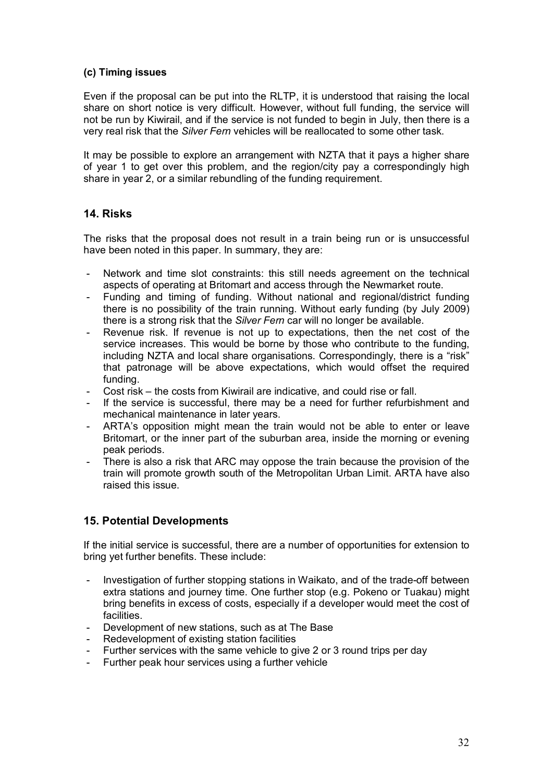# **(c) Timing issues**

Even if the proposal can be put into the RLTP, it is understood that raising the local share on short notice is very difficult. However, without full funding, the service will not be run by Kiwirail, and if the service is not funded to begin in July, then there is a very real risk that the *Silver Fern* vehicles will be reallocated to some other task.

It may be possible to explore an arrangement with NZTA that it pays a higher share of year 1 to get over this problem, and the region/city pay a correspondingly high share in year 2, or a similar rebundling of the funding requirement.

# **14. Risks**

The risks that the proposal does not result in a train being run or is unsuccessful have been noted in this paper. In summary, they are:

- Network and time slot constraints: this still needs agreement on the technical aspects of operating at Britomart and access through the Newmarket route.
- Funding and timing of funding. Without national and regional/district funding there is no possibility of the train running. Without early funding (by July 2009) there is a strong risk that the *Silver Fern* car will no longer be available.
- Revenue risk. If revenue is not up to expectations, then the net cost of the service increases. This would be borne by those who contribute to the funding, including NZTA and local share organisations. Correspondingly, there is a "risk" that patronage will be above expectations, which would offset the required funding.
- Cost risk the costs from Kiwirail are indicative, and could rise or fall.
- If the service is successful, there may be a need for further refurbishment and mechanical maintenance in later years.
- ARTA's opposition might mean the train would not be able to enter or leave Britomart, or the inner part of the suburban area, inside the morning or evening peak periods.
- There is also a risk that ARC may oppose the train because the provision of the train will promote growth south of the Metropolitan Urban Limit. ARTA have also raised this issue.

# **15. Potential Developments**

If the initial service is successful, there are a number of opportunities for extension to bring yet further benefits. These include:

- Investigation of further stopping stations in Waikato, and of the trade-off between extra stations and journey time. One further stop (e.g. Pokeno or Tuakau) might bring benefits in excess of costs, especially if a developer would meet the cost of facilities.
- Development of new stations, such as at The Base
- Redevelopment of existing station facilities
- Further services with the same vehicle to give 2 or 3 round trips per day
- Further peak hour services using a further vehicle